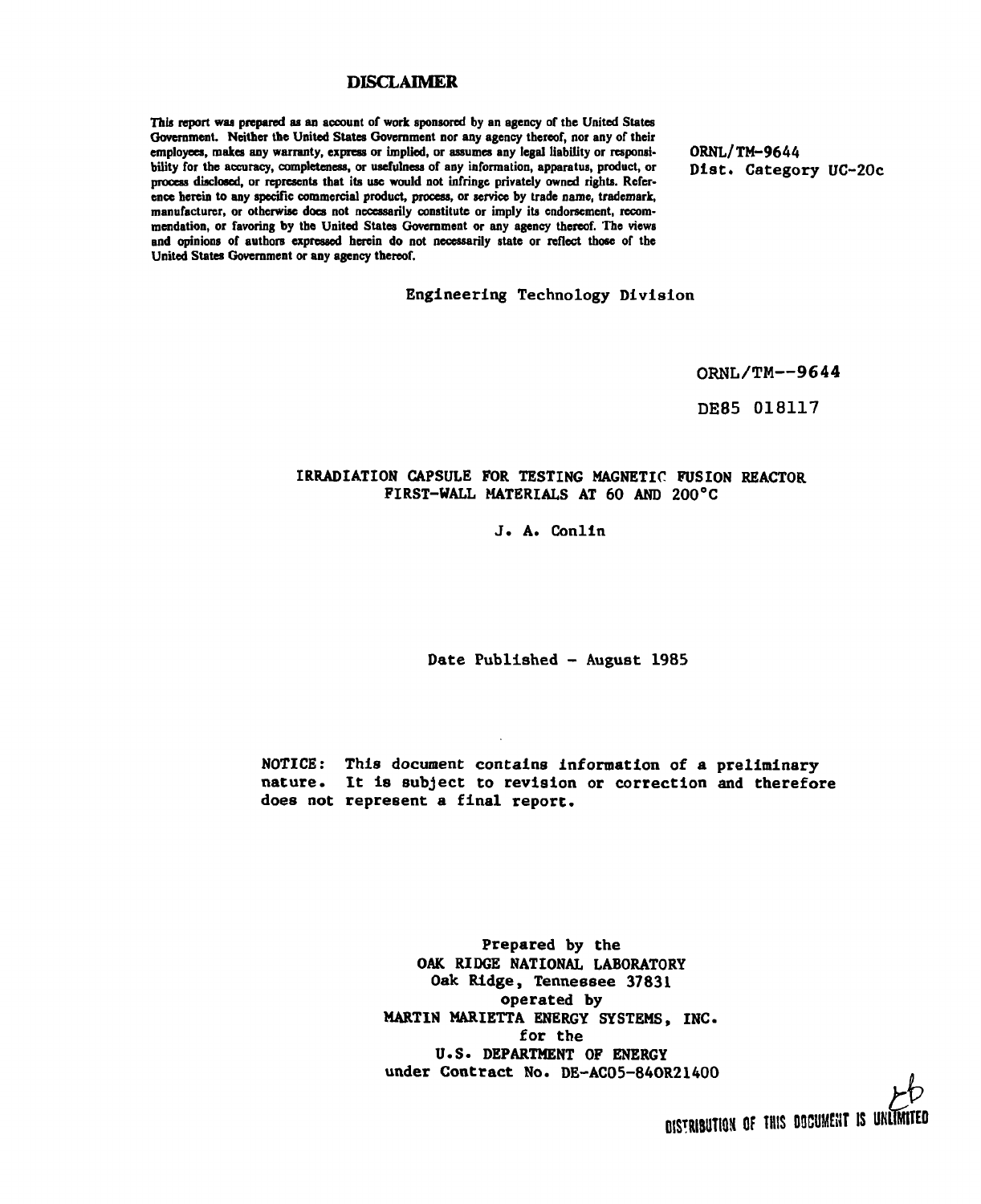### DISCLAIMER

This report was prepared as an account of work sponsored by an agency of the United States Government. Neither the United States Government nor any agency thereof, nor any of their employees, makes any warranty, express or implied, or assumes any legal liability or responsibility for the accuracy, completeness, or usefulness of any information, apparatus, product, or process disclosed, or represents that its use would not infringe privately owned rights. Reference herein to any specific commercial product, process, or service by trade name, trademark, manufacturer, or otherwise does not necessarily constitute or imply its endorsement, recommendation, or favoring by the United States Government or any agency thereof. The views and opinions of authors expressed herein do not necessarily state or reflect those of the United States Government or any agency thereof.

 $OMU/1T-7044$ Diat. Category UC-20c

Engineering Technology Division

ORNL/TM—9644

DE85 018117

### IRRADIATION CAPSULE FOR TESTING MAGNETIC FUSION REACTOR FIRST-WALL MATERIALS AT 60 AND 200°C

J. A. Conlin

Date Published - August 1985

NOTICE: This document contains Information of a preliminary nature. It Is subject to revision or correction and therefore does not represent a final report.

> Prepared by the OAK RIDGE NATIONAL LABORATORY Oak Ridge, Tennessee 37831 operated by MARTIN MARIETTA ENERGY SYSTEMS, INC. for the U.S. DEPARTMENT OF ENERGY under Contract No. DE-AC05-840R21400

> > **DISTRIBUTION OF THIS DOCUMENT IS UNLIMITED**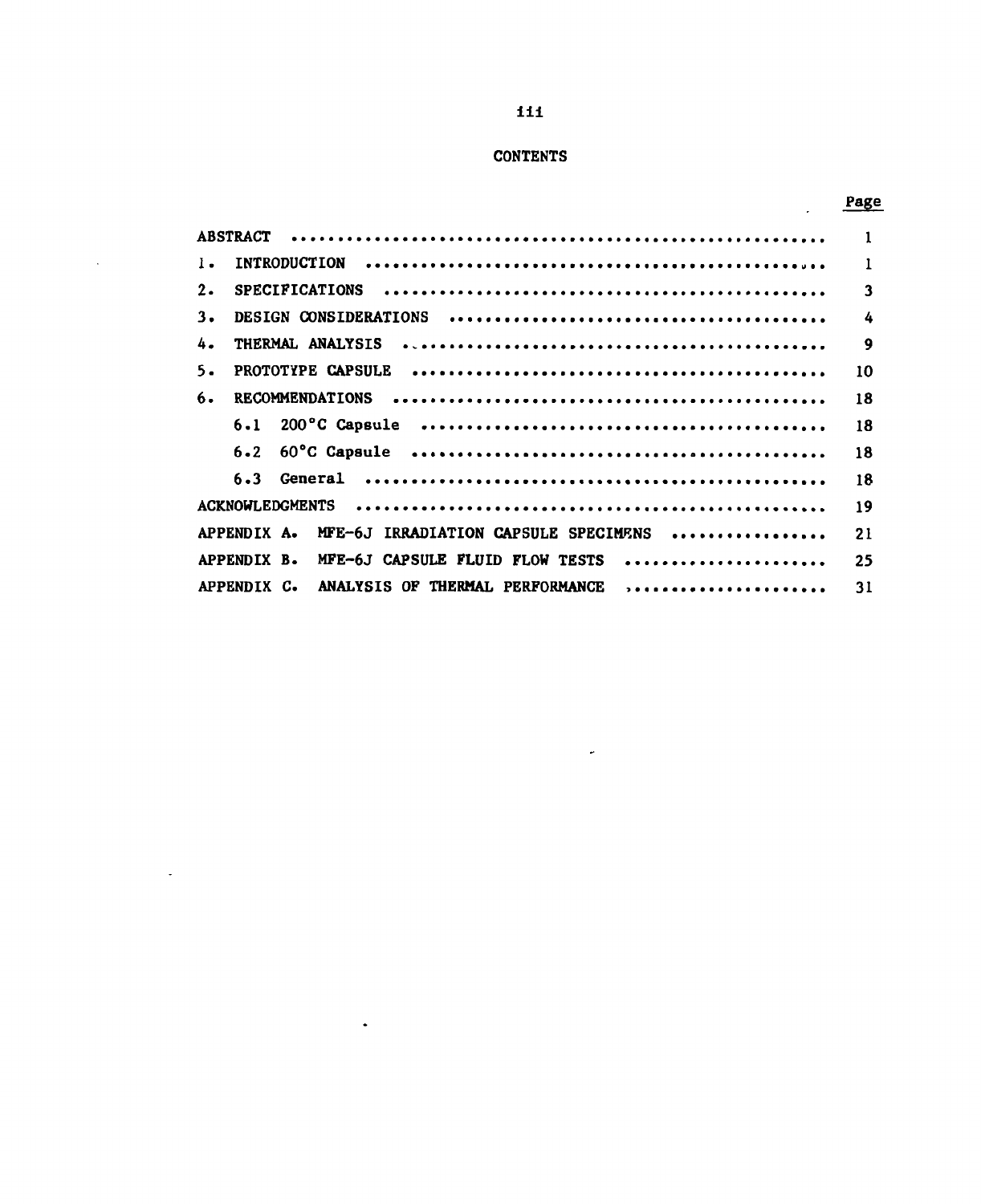# **CONTENTS**

 $\mathcal{L}_{\mathcal{A}}$ 

 $\mathcal{L}$ 

 $\langle \bullet \rangle$ 

## Page

 $\overline{a}$ 

| $\mathbf{I}$ .                                      | $\mathbf{1}$            |
|-----------------------------------------------------|-------------------------|
| 2.                                                  | $\overline{\mathbf{3}}$ |
| 3.                                                  | $\boldsymbol{4}$        |
| 4.                                                  | 9                       |
| 5.                                                  | 10                      |
| 6.                                                  | 18                      |
|                                                     | 18                      |
|                                                     | 18                      |
|                                                     | 18                      |
|                                                     | 19                      |
| MFE-6J IRRADIATION CAPSULE SPECIMENS<br>APPENDIX A. | 21                      |
| MFE-6J CAPSULE FLUID FLOW TESTS<br>APPENDIX B.      | 25                      |
| ANALYSIS OF THERMAL PERFORMANCE ,<br>APPENDIX C.    | 31                      |

 $\omega$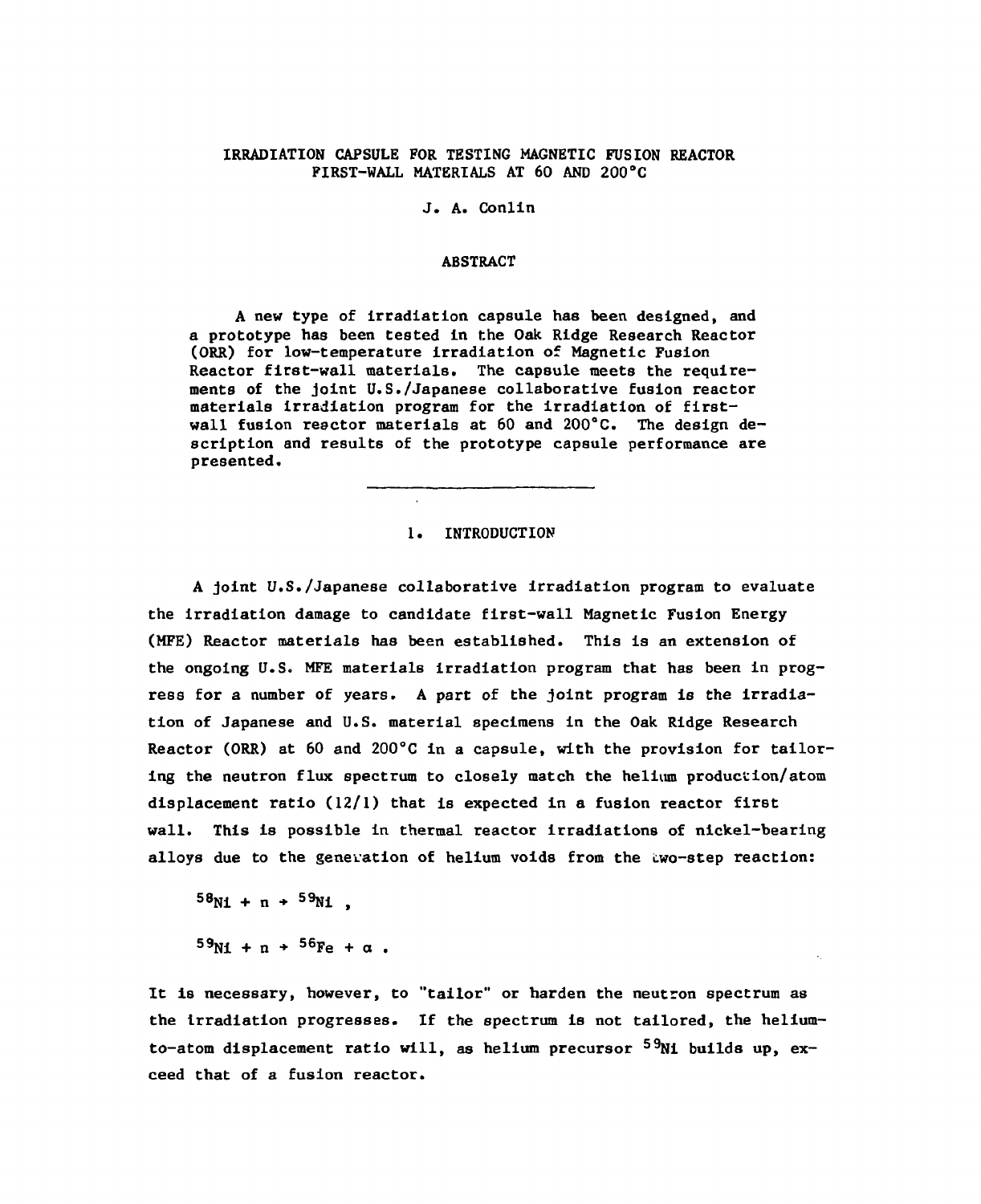### IRRADIATION CAPSULE FOR TESTING MAGNETIC FUSION REACTOR FIRST-WALL MATERIALS AT 60 AND 200°C

### J. A. Conlin

#### ABSTRACT

A new type of irradiation capsule has been designed, and a prototype has been tested in the Oak Ridge Research Reactor (ORR) for low-temperature Irradiation of Magnetic Fusion Reactor first-wall materials. The capsule meets the requirements of the joint U.S./Japanese collaborative fusion reactor materials irradiation program for the irradiation of firstwall fusion reactor materials at 60 and 200°C. The design description and results of the prototype capsule performance are presented.

#### 1. INTRODUCTION

A joint U.S./Japanese collaborative irradiation program to evaluate the irradiation damage to candidate first-wall Magnetic Fusion Energy (MFE) Reactor materials has been established. This is an extension of the ongoing U.S. MFE materials irradiation program that has been In progress for a number of years. A part of the joint program is the irradiation of Japanese and U.S. material specimens in the Oak Ridge Research Reactor (ORR) at 60 and 200°C in a capsule, with the provision for tailoring the neutron flux spectrum to closely match the helium production/atom displacement ratio  $(12/1)$  that is expected in a fusion reactor first wall. This Is possible in thermal reactor irradiations of nickel-bearing alloys due to the generation of helium voids from the Lwo-step reaction:

 $58M + n + 59M$ .

 $59N_1 + n + 56F_2 + \alpha$ .

It is necessary, however, to "tailor" or harden the neutron spectrum as the Irradiation progresses. If the spectrum is not tailored, the heliumto-atom displacement ratio will, as helium precursor  $5\%$ Ni builds up, exceed that of a fusion reactor.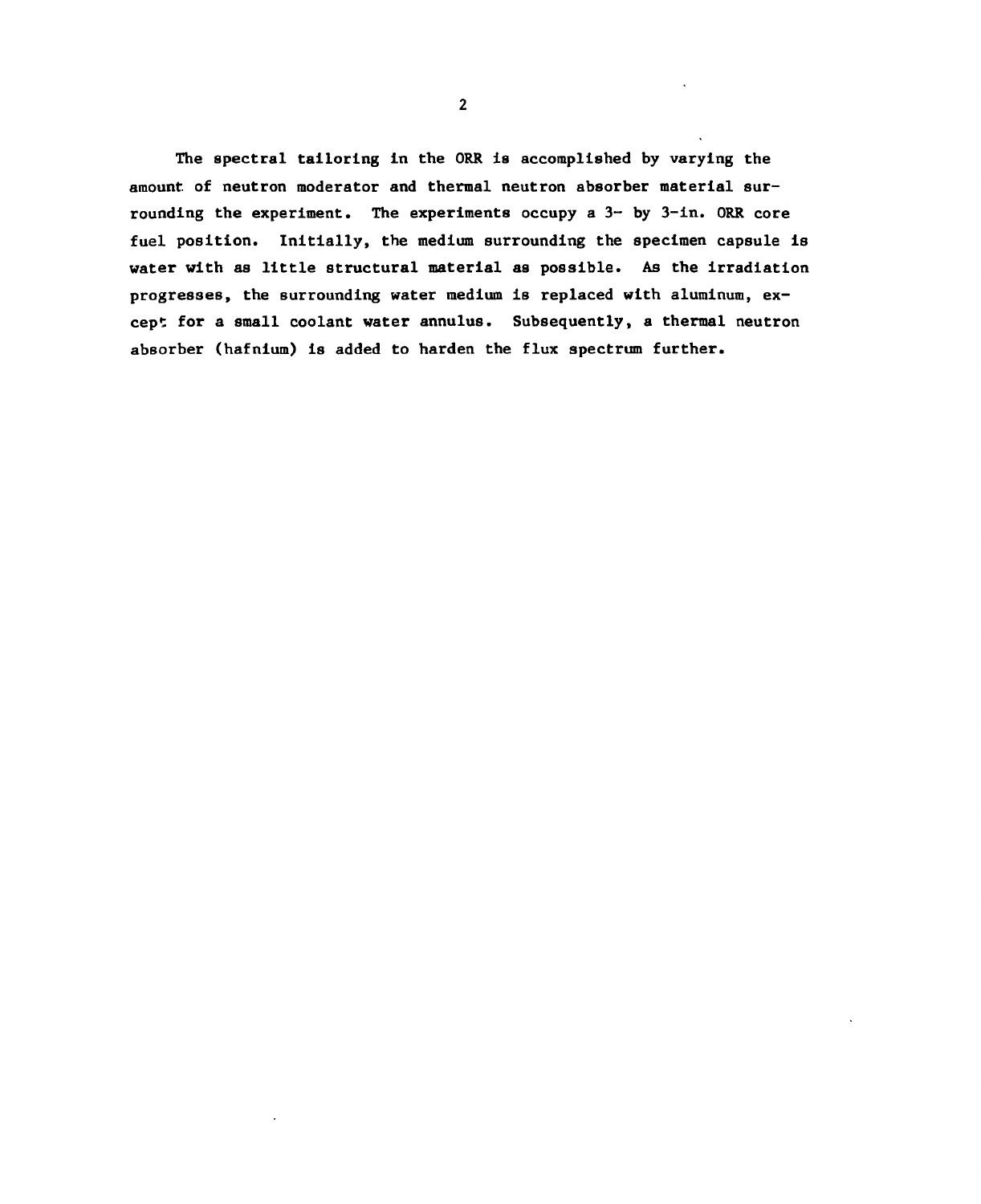The spectral tailoring in the ORR is accomplished by varying the amount of neutron moderator and thermal neutron absorber material surrounding the experiment. The experiments occupy a  $3-$  by  $3-$ in. ORR core fuel position. Initially, the medium surrounding the specimen capsule is water with as little structural material as possible. As the irradiation progresses, the surrounding water medium is replaced with aluminum, except for a small coolant water annulus. Subsequently, a thermal neutron absorber (hafnium) is added to harden the flux spectrum further.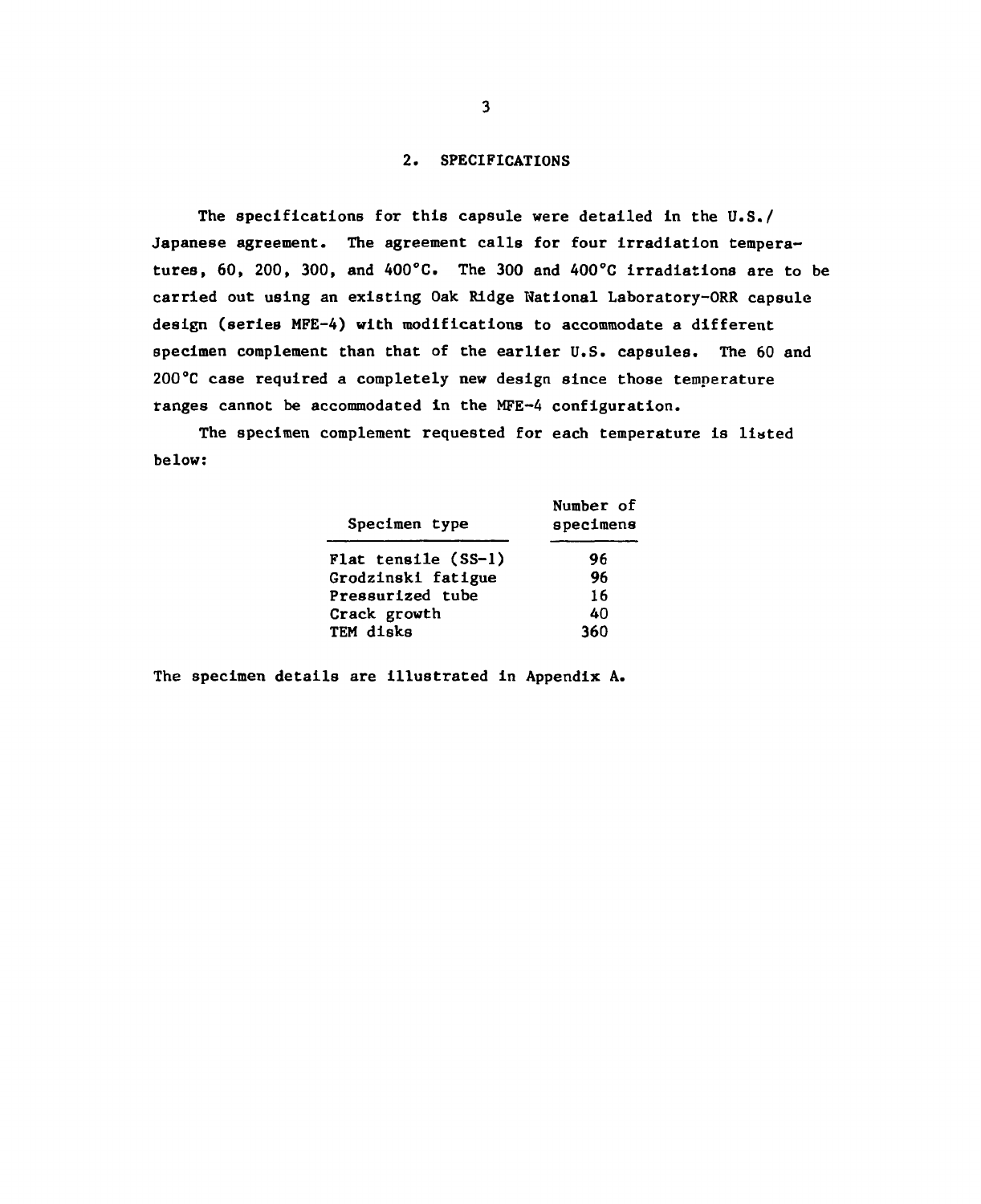#### 2. SPECIFICATIONS

The specifications for this capsule were detailed in the U.S./ Japanese agreement. The agreement calls for four irradiation temperatures, 60, 200, 300, and 400°C. The 300 and 400°C irradiations are to be carried out using an existing Oak Ridge National Laboratory-ORR capsule design (series MFE-4) with modifications to accommodate a different specimen complement than that of the earlier U.S. capsules. The 60 and 200°C case required a completely new design since those temperature ranges cannot be accommodated in the MFE-4 configuration.

The specimen complement requested for each temperature is listed below:

| Specimen type       | Number of<br>specimens |
|---------------------|------------------------|
| Flat tensile (SS-1) | 96                     |
| Grodzinski fatigue  | 96                     |
| Pressurized tube    | 16                     |
| Crack growth        | 40                     |
| TEM disks           | 360                    |

The specimen details are illustrated in Appendix A.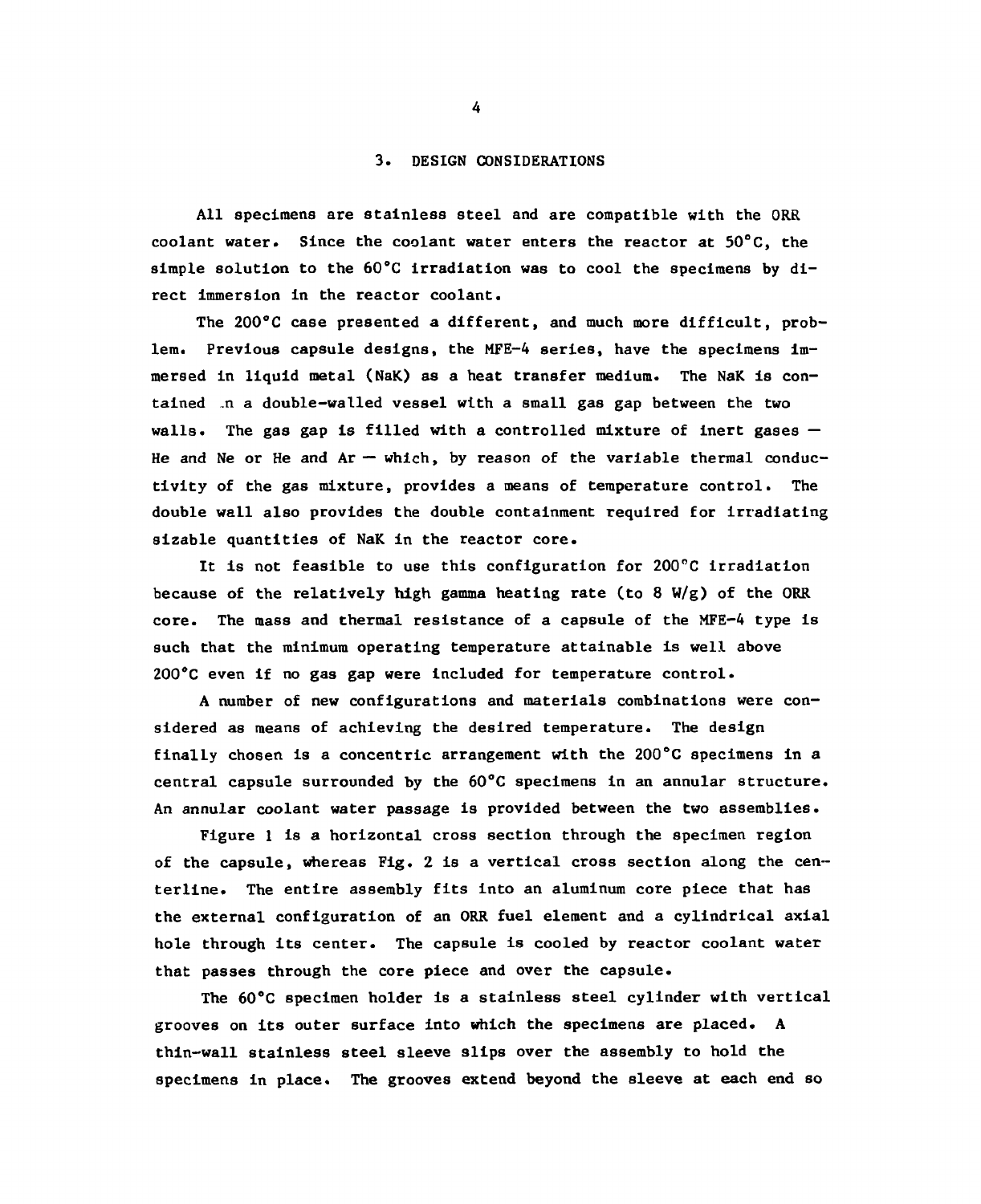#### 3. DESIGN CONSIDERATIONS

All specimens are stainless steel and are compatible with the ORR coolant water. Since the coolant water enters the reactor at 50°C, the simple solution to the 60°C irradiation was to cool the specimens by direct immersion in the reactor coolant.

The 200°C case presented a different, and much more difficult, problem. Previous capsule designs, the MFE-4 series, have the specimens immersed in liquid metal (NaK) as a heat transfer medium. The NaK is contained "n a double-walled vessel with a small gas gap between the two walls. The gas gap is filled with a controlled mixture of inert gases  $-$ He and Ne or He and  $Ar - which$ , by reason of the variable thermal conductivity of the gas mixture, provides a means of temperature control. The double wall also provides the double containment required for irradiating sizable quantities of NaK in the reactor core.

It is not feasible to use this configuration for 200°C irradiation because of the relatively high gamma heating rate (to 8 W/g) of the ORR core. The mass and thermal resistance of a capsule of the MFE-4 type is such that the minimum operating temperature attainable is well above 200°C even if no gas gap were included for temperature control.

A number of new configurations and materials combinations were considered as means of achieving the desired temperature. The design finally chosen is a concentric arrangement with the 200°C specimens in a central capsule surrounded by the 60°C specimens in an annular structure. An annular coolant water passage is provided between the two assemblies.

Figure 1 is a horizontal cross section through the specimen region of the capsule, whereas Fig. 2 is a vertical cross section along the centerline. The entire assembly fits into an aluminum core piece that has the external configuration of an ORR fuel element and a cylindrical axial hole through its center. The capsule is cooled by reactor coolant water that passes through the core piece and over the capsule.

The 60°C specimen holder is a stainless steel cylinder with vertical grooves on its outer surface into which the specimens are placed. A thin-wall stainless steel sleeve slips over the assembly to hold the specimens in place. The grooves extend beyond the sleeve at each end so

 $\overline{4}$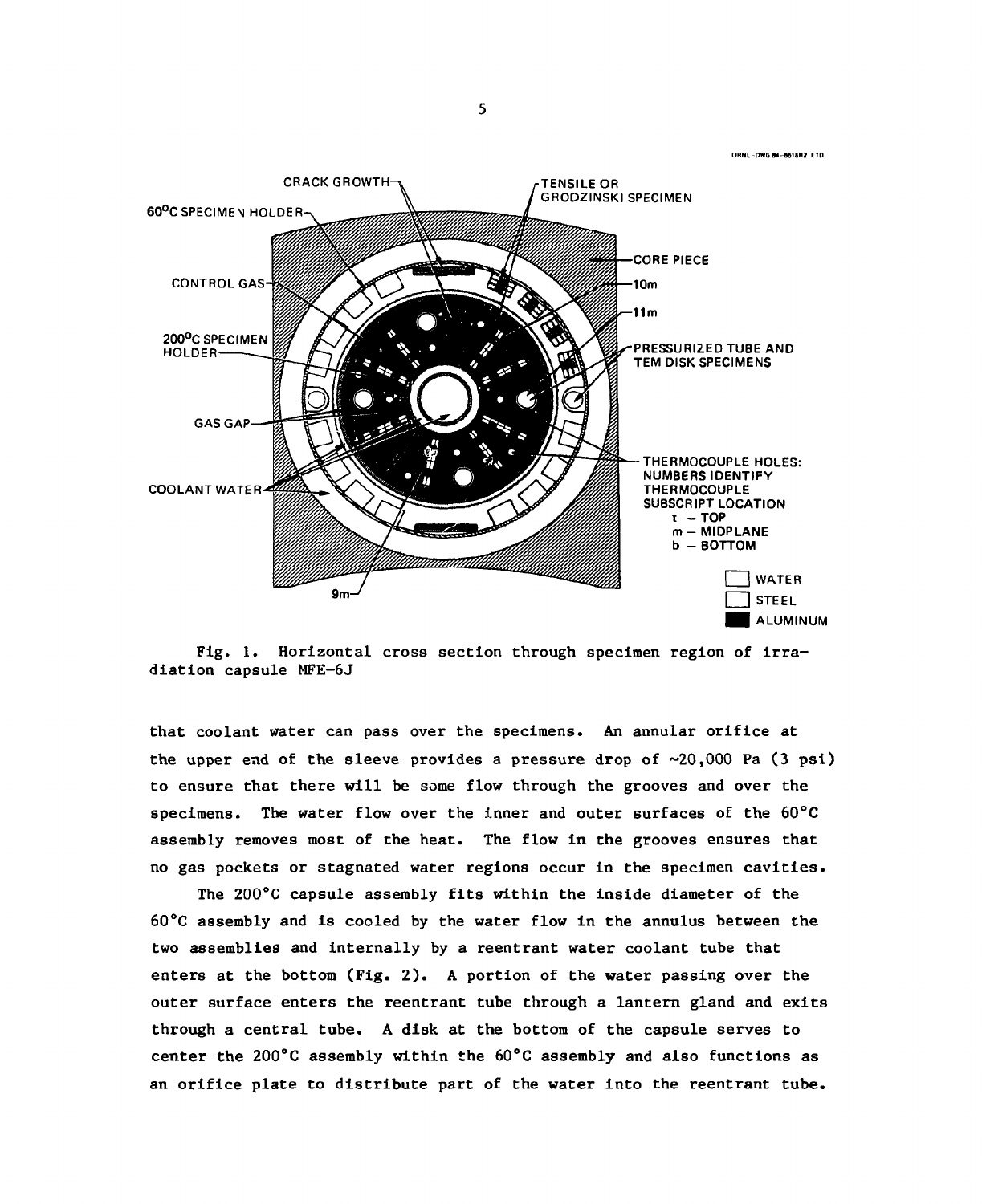ORNL-DWG 84-6615R2 ETD



Fig. 1. Horizontal cross section through specimen region of irradiation capsule MFE-6J

that coolant water can pass over the specimens. An annular orifice at the upper end of the sleeve provides a pressure drop of  $\sim 20,000$  Pa (3 psi) to ensure that there will be some flow through the grooves and over the specimens. The water flow over the inner and outer surfaces of the 60°C assembly removes most of the heat. The flow in the grooves ensures that no gas pockets or stagnated water regions occur in the specimen cavities.

The 200°C capsule assembly fits within the inside diameter of the 60°C assembly and is cooled by the water flow in the annulus between the two assemblies and internally by a reentrant water coolant tube that enters at the bottom (Fig. 2). A portion of the water passing over the outer surface enters the reentrant tube through a lantern gland and exits through a central tube. A disk at the bottom of the capsule serves to center the 200°C assembly within the 60°C assembly and also functions as an orifice plate to distribute part of the water into the reentrant tube.

 $\mathbf{r}$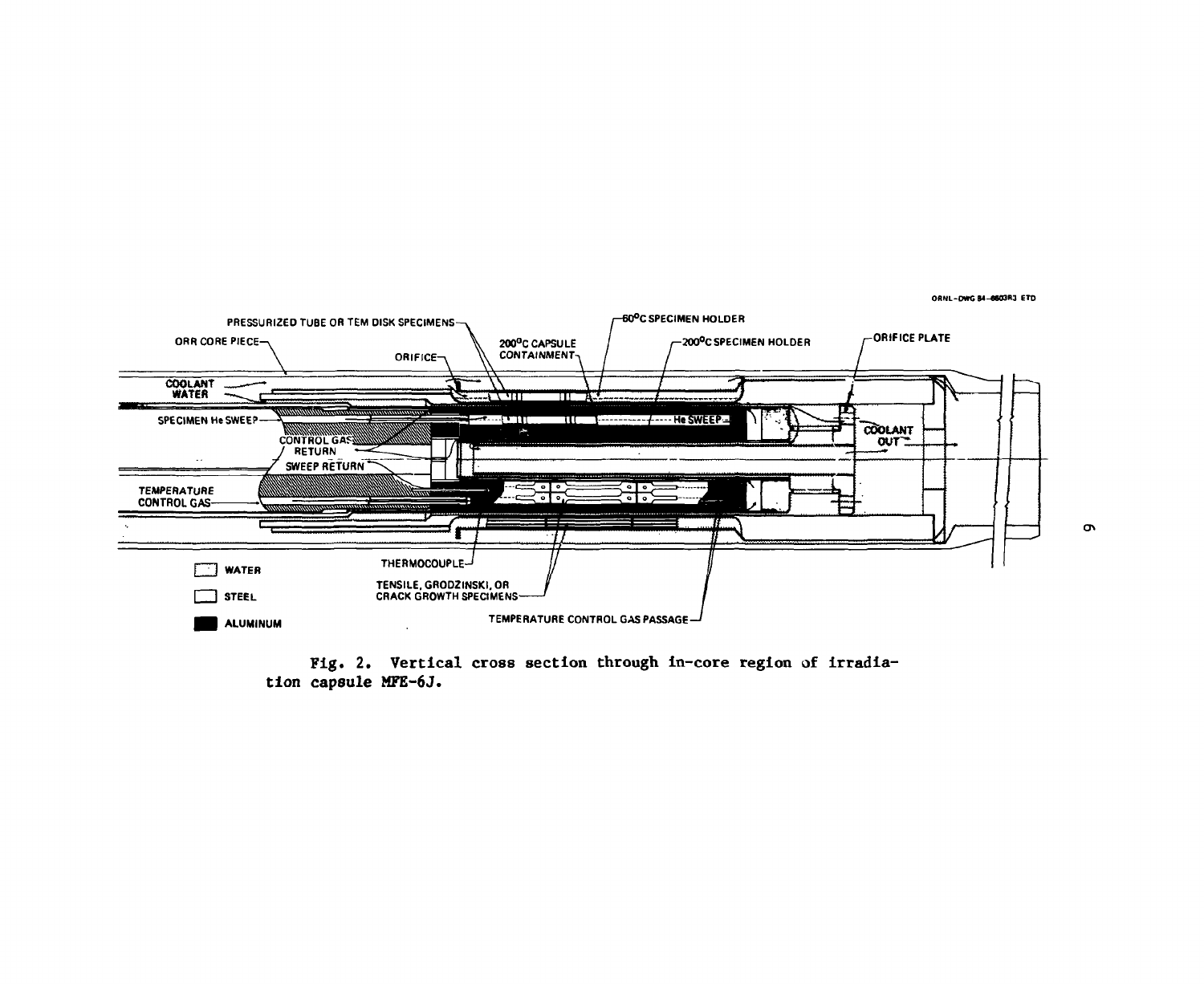

Fig. 2. Vertical cross section through in-core region **of** Irradiation capsule MFE-6J.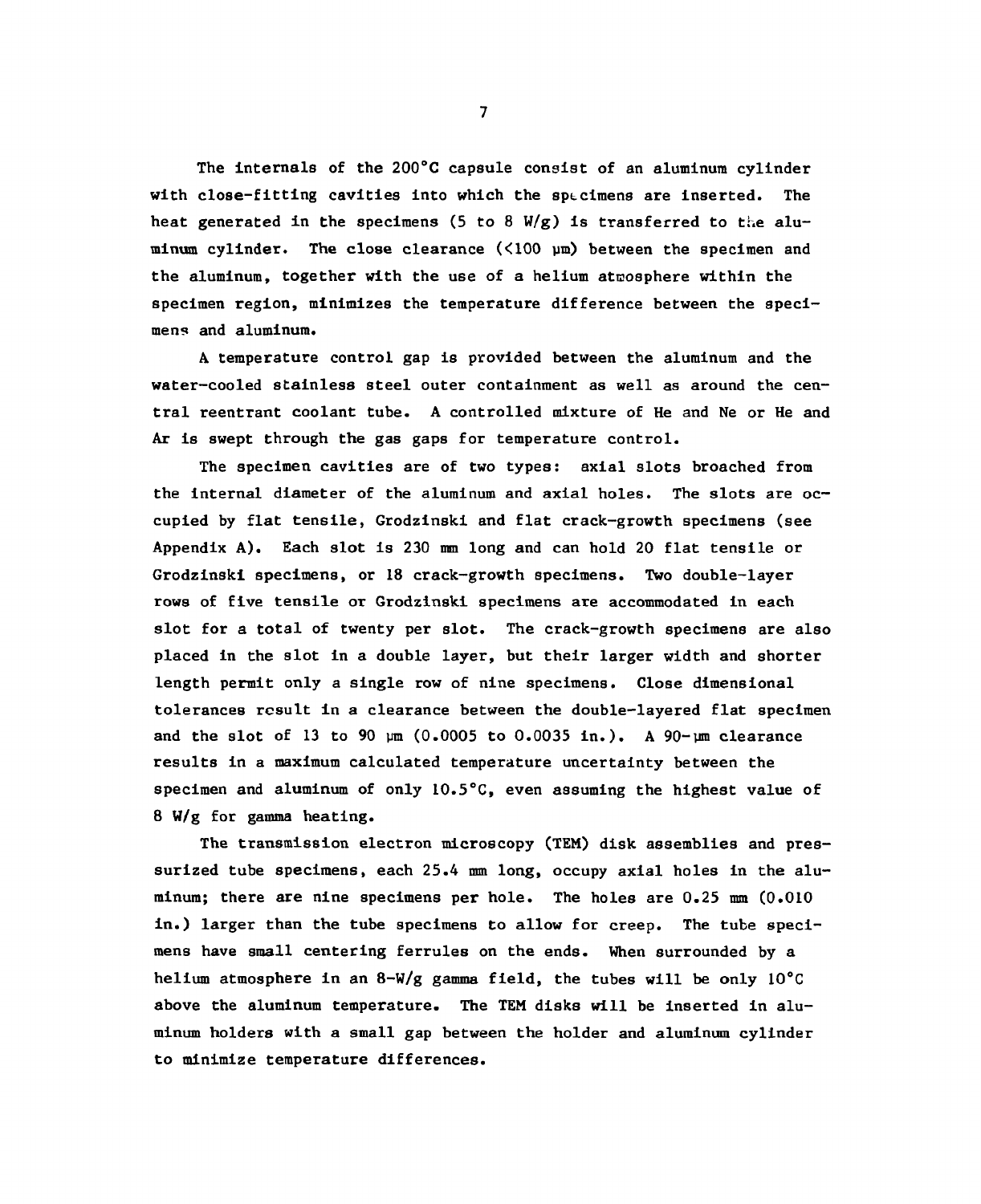The internals of the 200°C capsule consist of an aluminum cylinder with close-fitting cavities into which the sp $\epsilon$ cimens are inserted. The heat generated in the specimens (5 to 8  $W/g$ ) is transferred to the aluminum cylinder. The close clearance  $(\langle 100 \text{ }\mu\text{m})$  between the specimen and the aluminum, together with the use of a helium atmosphere within the specimen region, minimizes the temperature difference between the specimens and aluminum.

A temperature control gap is provided between the aluminum and the water-cooled stainless steel outer containment as well as around the central reentrant coolant tube. A controlled mixture of He and Ne or He and Ar is swept through the gas gaps for temperature control.

The specimen cavities are of two types: axial slots broached from the internal diameter of the aluminum and axial holes. The slots are occupied by flat tensile, Grodzinski and flat crack-growth specimens (see Appendix A). Each slot is 230 mm long and can hold 20 flat tensile or Grodzinski specimens, or 18 crack-growth specimens. Two double-layer rows of five tensile or Grodzinski specimens are accommodated in each slot for a total of twenty per slot. The crack-growth specimens are also placed in the slot in a double layer, but their larger width and shorter length permit only a single row of nine specimens. Close dimensional tolerances result in a clearance between the double-layered flat specimen and the slot of 13 to 90  $\mu$ m (0.0005 to 0.0035 in.). A 90- $\mu$ m clearance results in a maximum calculated temperature uncertainty between the specimen and aluminum of only 10.5°C, even assuming the highest value of 8 W/g for gamma heating.

The transmission electron microscopy (TEM) disk assemblies and pressurized tube specimens, each 25.4 mm long, occupy axial holes in the aluminum; there are nine specimens per hole. The holes are 0.25 mm (0.010 in.) larger than the tube specimens to allow for creep. The tube specimens have small centering ferrules on the ends. When surrounded by a helium atmosphere in an 8-W/g gamma field, the tubes will be only 10°C above the aluminum temperature. The TEM disks will be inserted in aluminum holders with a small gap between the holder and aluminum cylinder to minimize temperature differences.

 $7<sup>1</sup>$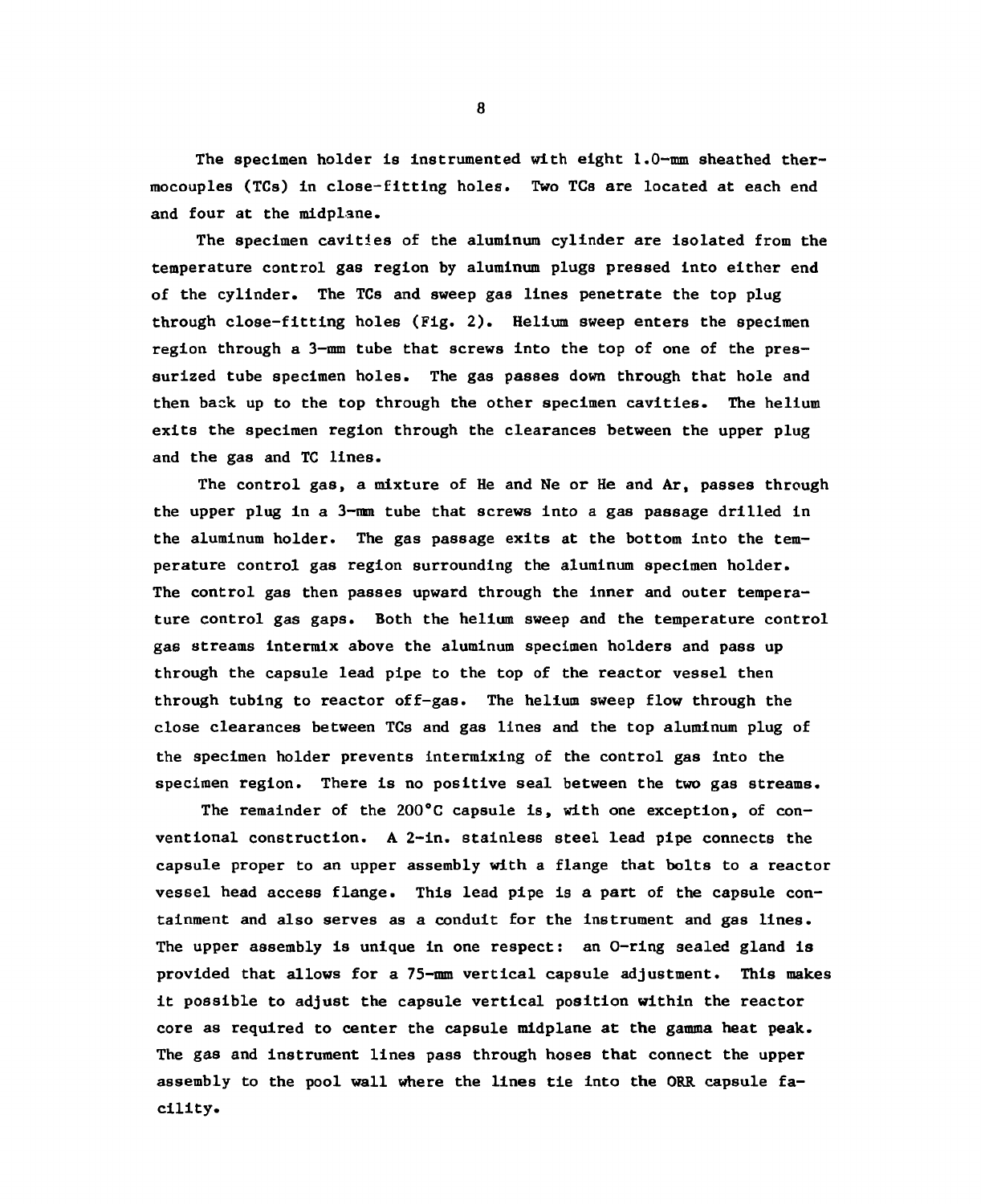The specimen holder is instrumented with eight 1.0-mm sheathed thermocouples (TCs) In close-fitting holes. Two TCs are located at each end and four at the midplane.

The specimen cavities of the aluminum cylinder are isolated from the temperature control gas region by aluminum plugs pressed into either end of the cylinder. The TCs and sweep gas lines penetrate the top plug through close-fitting holes (Fig. 2). Helium sweep enters the specimen region through a 3—mm tube that screws into the top of one of the pressurized tube specimen holes. The gas passes down through that hole and then back up to the top through the other specimen cavities. The helium exits the specimen region through the clearances between the upper plug and the gas and TC lines.

The control gas, a mixture of He and Ne or He and Ar, passes through the upper plug in a 3-mm tube that screws into a gas passage drilled in the aluminum holder. The gas passage exits at the bottom into the temperature control gas region surrounding the aluminum specimen holder. The control gas then passes upward through the inner and outer temperature control gas gaps. Both the helium sweep and the temperature control gas streams intermix above the aluminum specimen holders and pass up through the capsule lead pipe to the top of the reactor vessel then through tubing to reactor off-gas. The helium sweep flow through the close clearances between TCs and gas lines and the top aluminum plug of the specimen holder prevents intermixing of the control gas into the specimen region. There is no positive seal between the two gas streams.

The remainder of the 200°C capsule is, with one exception, of conventional construction. A 2-in. stainless steel lead pipe connects the capsule proper to an upper assembly with a flange that bolts to a reactor vessel head access flange. This lead pipe is a part of the capsule containment and also serves as a conduit for the instrument and gas lines. The upper assembly is unique in one respect: an O-ring sealed gland is provided that allows for a 75-mm vertical capsule adjustment. This makes it possible to adjust the capsule vertical position within the reactor core as required to center the capsule midplane at the gamma heat peak. The gas and instrument lines pass through hoses that connect the upper assembly to the pool wall where the lines tie into the ORR capsule facility.

 $\overline{a}$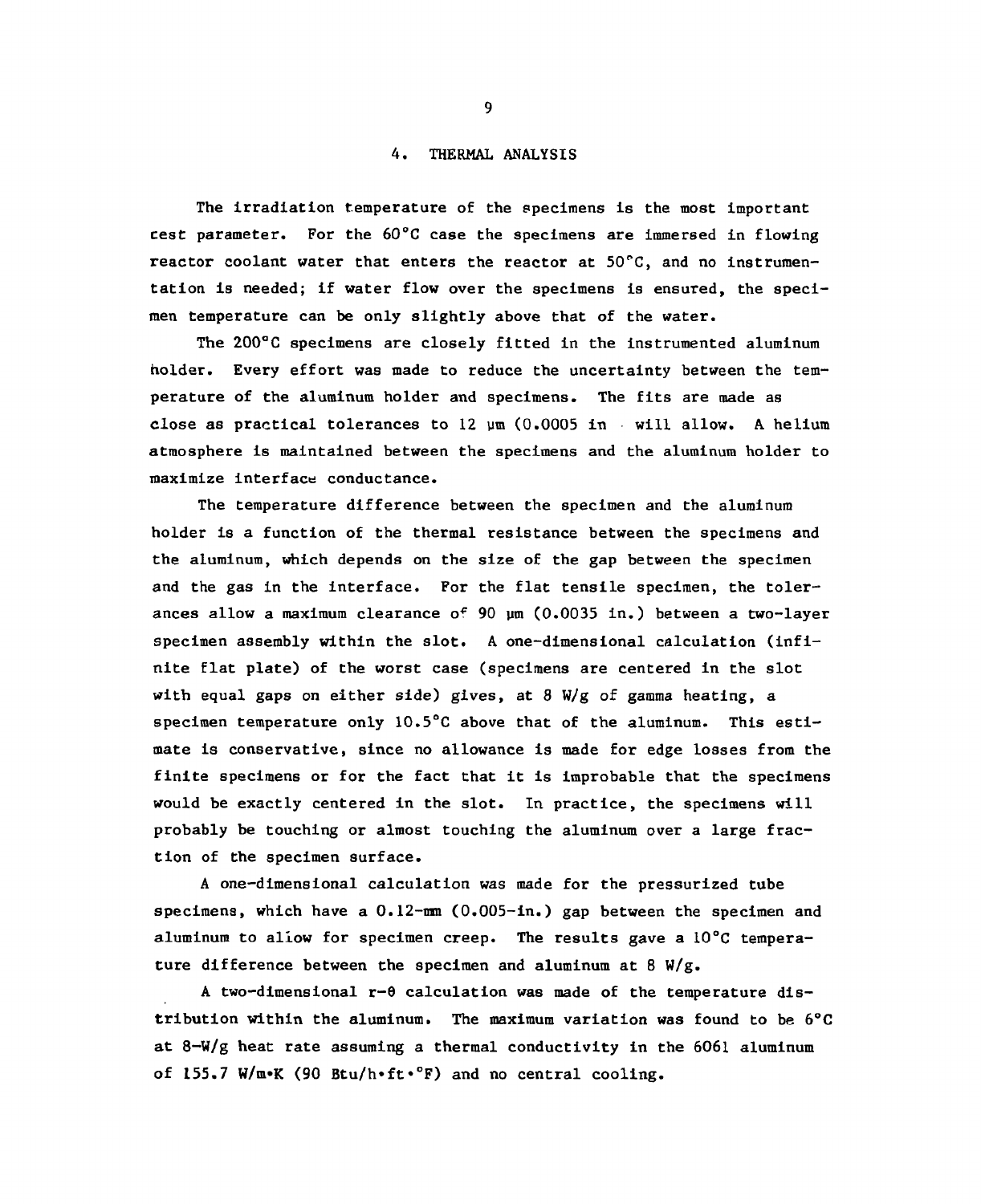### 4. THERMAL ANALYSIS

The irradiation temperature of the specimens is the most important cest parameter. For the  $60^{\circ}$ C case the specimens are immersed in flowing reactor coolant water that enters the reactor at  $50^{\circ}$ C, and no instrumentation is needed; if water flow over the specimens is ensured, the specimen temperature can be only slightly above that of the water.

The 200°C specimens are closely fitted in the instrumented aluminum holder. Every effort was made to reduce the uncertainty between the temperature of the aluminum holder and specimens. The fits are made as close as practical tolerances to  $12 \mu m (0.0005 in$  will allow. A helium atmosphere is maintained between the specimens and the aluminum holder to maximize interface conductance.

The temperature difference between the specimen and the aluminum holder is a function of the thermal resistance between the specimens and the aluminum, which depends on the size of the gap between the specimen and the gas in the interface. For the flat tensile specimen, the tolerances allow a maximum clearance of 90 ym (0.0035 in.) between a two-layer specimen assembly within the slot. A one-dimensional calculation (infinite flat plate) of the worst case (specimens are centered in the slot with equal gaps on either side) gives, at 8 W/g of gamma heating, a specimen temperature only 10.5°C above that of the aluminum. This estimate is conservative, since no allowance is made for edge losses from the finite specimens or for the fact that it is improbable that the specimens would be exactly centered in the slot. In practice, the specimens will probably be touching or almost touching the aluminum over a large fraction of the specimen surface.

A one-dimensional calculation was made for the pressurized tube specimens, which have a  $0.12$ -mm  $(0.005$ -in.) gap between the specimen and aluminum to allow for specimen creep. The results gave a 10°C temperature difference between the specimen and aluminum at 8  $W/g$ .

A two-dimensional r-0 calculation was made of the temperature distribution within the aluminum. The maximum variation was found to be 6°C at 8-W/g heat rate assuming a thermal conductivity in the 6061 aluminum of 155.7 W/m\*K (90 Btu/h\*ft\*°F) and no central cooling.

 $9<sub>1</sub>$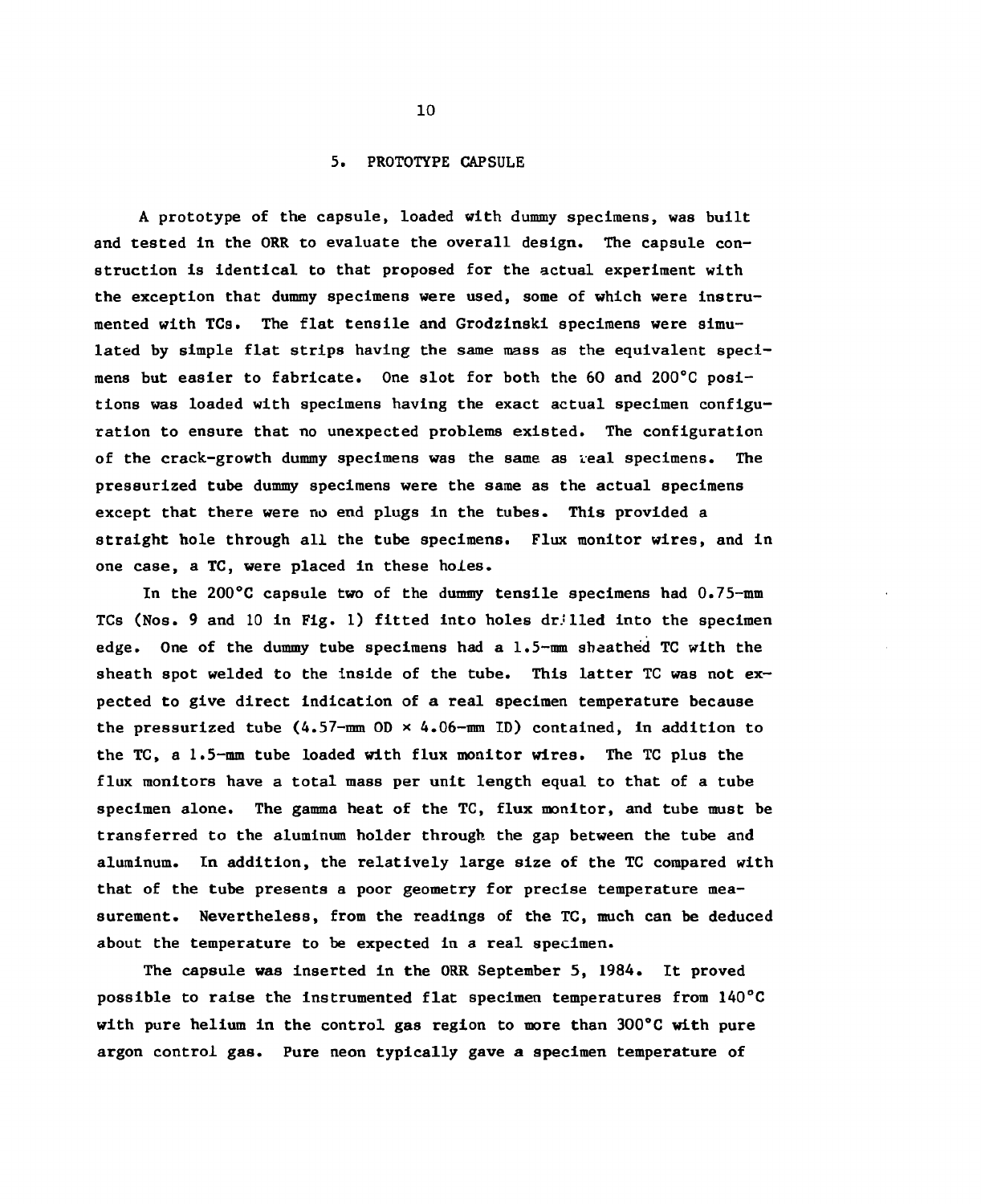#### 5. PROTOTYPE CAPSULE

A prototype of the capsule, loaded with dummy specimens, was built and tested in the ORR to evaluate the overall design. The capsule construction is identical to that proposed for the actual experiment with the exception that dummy specimens were used, some of which were instrumented with TCs. The flat tensile and Grodzinski specimens were simulated by simple flat strips having the same mass as the equivalent specimens but easier to fabricate. One slot for both the 60 and 200°C positions was loaded with specimens having the exact actual specimen configuration to ensure that no unexpected problems existed. The configuration of the crack-growth dummy specimens was the same as veal specimens. The pressurized tube dummy specimens were the same as the actual specimens except that there were no end plugs in the tubes. This provided a straight hole through all the tube specimens. Flux monitor wires, and in one case, a TC, were placed in these holes.

In the 200°C capsule two of the dummy tensile specimens had 0.75-mm TCs (Nos. 9 and 10 in Fig. 1) fitted into holes drilled into the specimen edge. One of the dummy tube specimens had a 1.5-mm sheathed TC with the sheath spot welded to the inside of the tube. This latter TC was not expected to give direct indication of a real specimen temperature because the pressurized tube  $(4.57-\text{mm}0D \times 4.06-\text{mm}1D)$  contained, in addition to the TC, a 1.5-mm tube loaded with flux monitor wires. The TC plus the flux monitors have a total mass per unit length equal to that of a tube specimen alone. The gamma heat of the TC, flux monitor, and tube must be transferred to the aluminum holder through the gap between the tube and aluminum. In addition, the relatively large size of the TC compared with that of the tube presents a poor geometry for precise temperature measurement. Nevertheless, from the readings of the TC, much can be deduced about the temperature to be expected in a real specimen.

The capsule was inserted in the ORR September 5, 1984. It proved possible to raise the Instrumented flat specimen temperatures from 140°C with pure helium in the control gas region to more than 300°C with pure argon control gas. Pure neon typically gave a specimen temperature of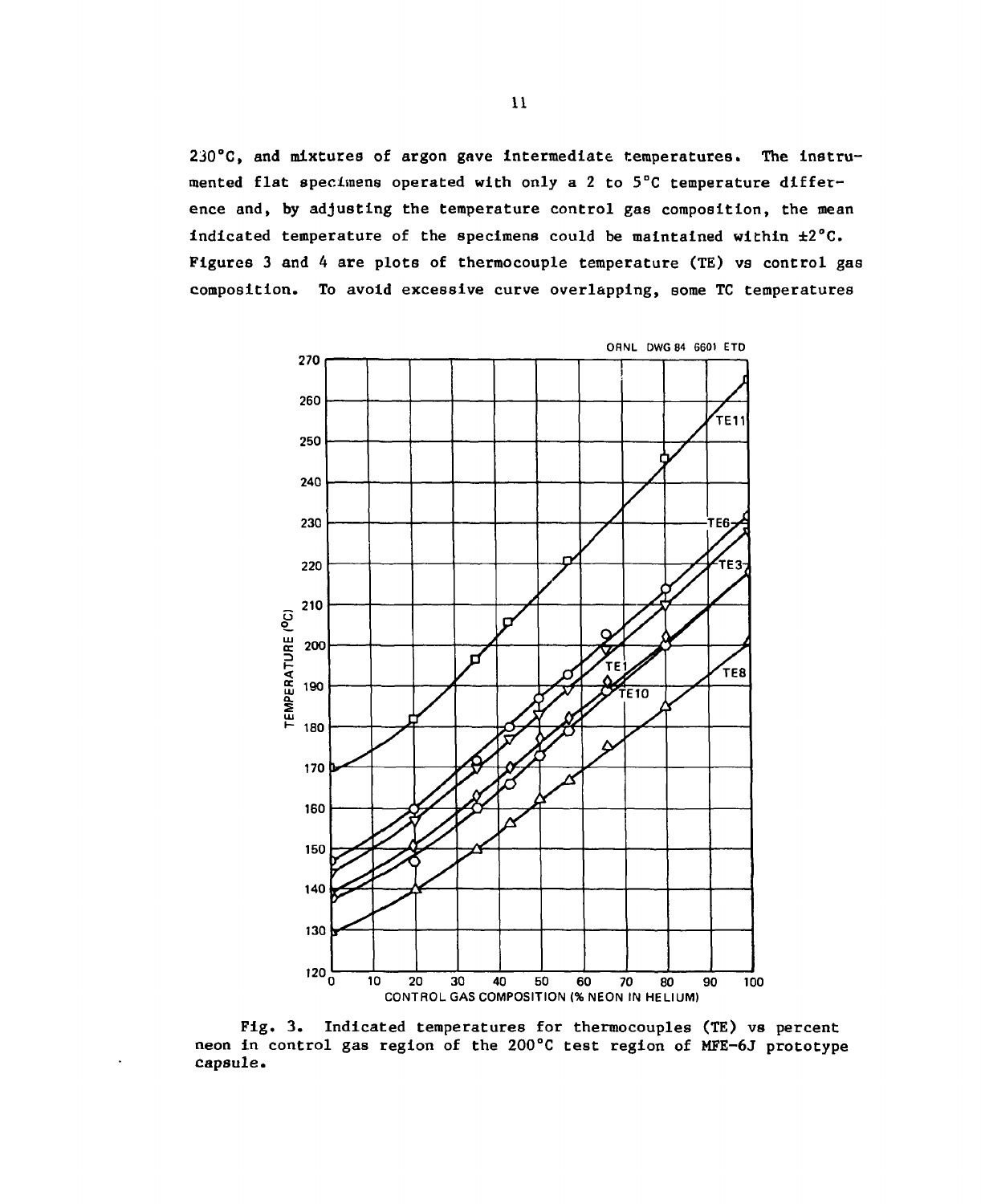230°C, and mixtures of argon gave Intermediate temperatures. The instrumented flat specimens operated with only a 2 to 5°C temperature difference and, by adjusting the temperature control gas composition, the mean indicated temperature of the specimens could be maintained within ±2°C. Figures 3 and 4 are plots of thermocouple temperature (TE) vs control gas composition. To avoid excessive curve overlapping, some TC temperatures



Fig. 3. Indicated temperatures for thermocouples (TE) vs percent neon in control gas region of the 200°C test region of MFE-6J prototype capsule.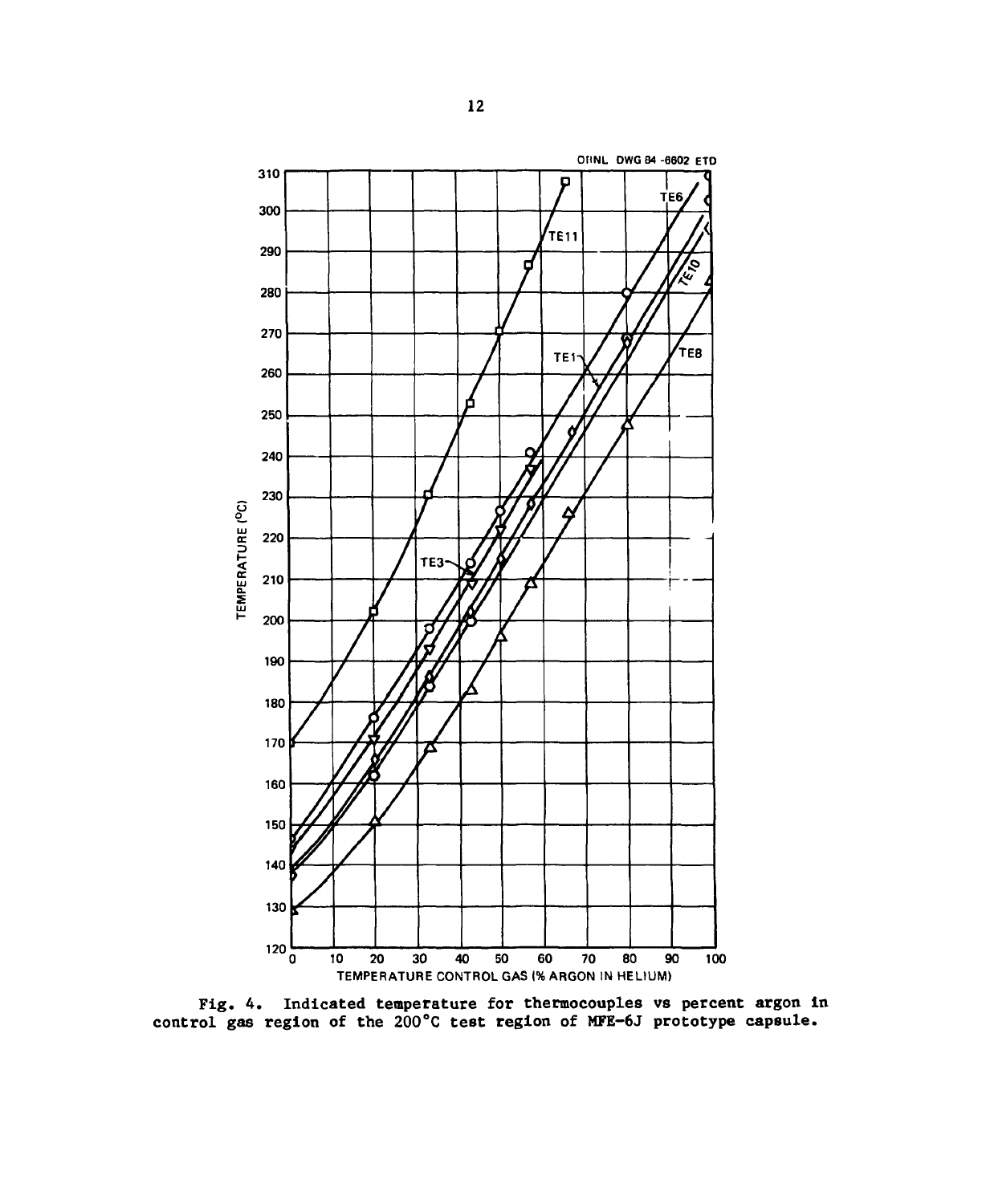

Fig. 4. Indicated temperature for thermocouples vs percent argon in control gas region of the 200°C test region of MFE-6J prototype capsule.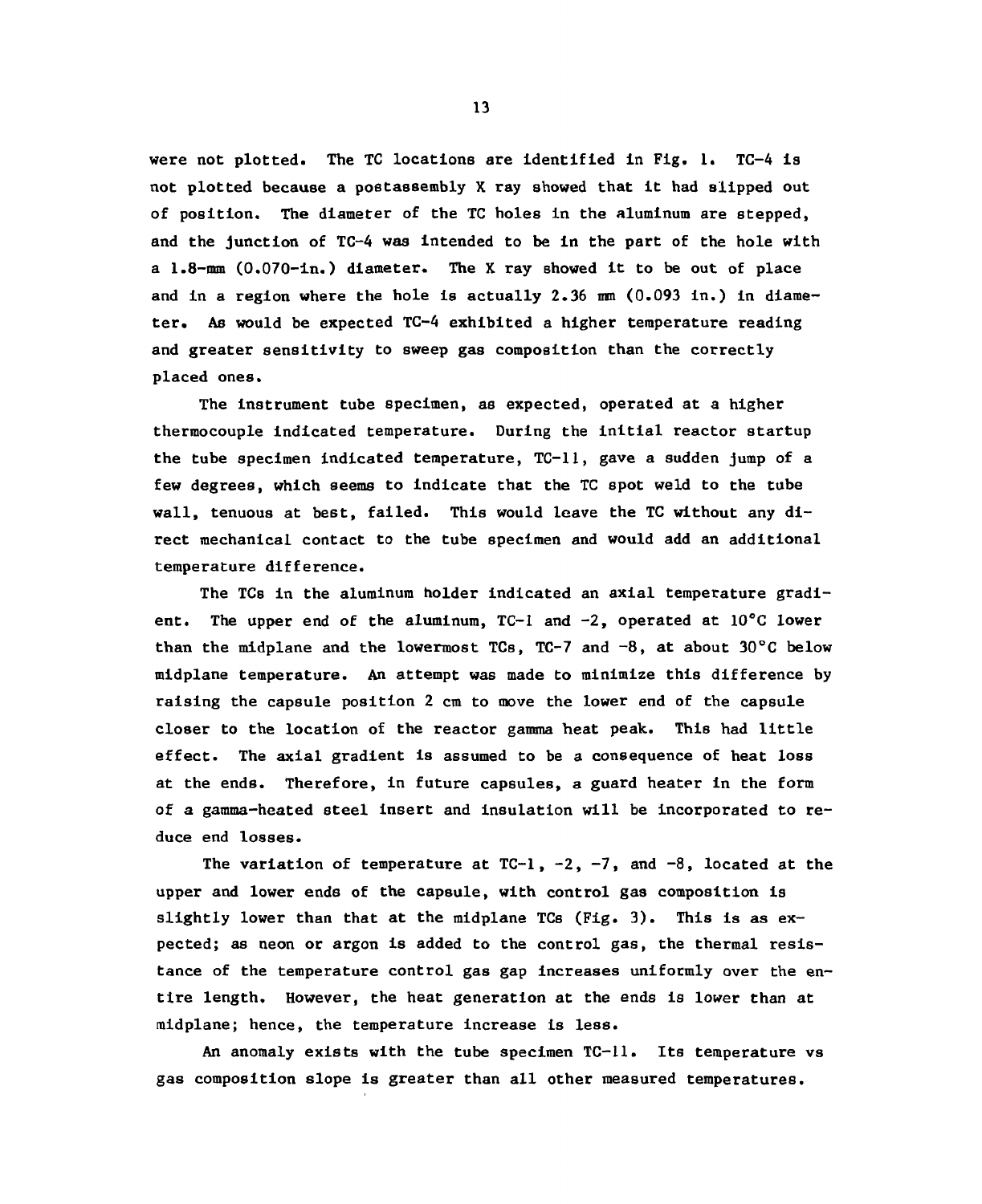were not plotted. The TC locations are identified in Fig. 1. TC-4 is not plotted because a postassembly X ray showed that it had slipped out of position. The diameter of the TC holes in the aluminum are stepped, and the junction of TC-4 was intended to be in the part of the hole with a 1.8-mm (0.070-in.) diameter. The X ray showed it to be out of place and in a region where the hole is actually 2.36 mm (0.093 in.) in diameter. As would be expected TC-4 exhibited a higher temperature reading and greater sensitivity to sweep gas composition than the correctly placed ones.

The instrument tube specimen, as expected, operated at a higher thermocouple indicated temperature. During the initial reactor startup the tube specimen indicated temperature, TC-11, gave a sudden jump of a few degrees, which seems to indicate that the TC spot weld to the tube wall, tenuous at best, failed. This would leave the TC without any direct mechanical contact to the tube specimen and would add an additional temperature difference.

The TCs in the aluminum holder indicated an axial temperature gradient. The upper end of the aluminum,  $TC-1$  and  $-2$ , operated at  $10^{\circ}C$  lower than the midplane and the lowermost TCs, TC-7 and  $-8$ , at about 30°C below midplane temperature. An attempt was made to minimize this difference by raising the capsule position 2 cm to move the lower end of the capsule closer to the location of the reactor gamma heat peak. This had little effect. The axial gradient is assumed to be a consequence of heat loss at the ends. Therefore, in future capsules, a guard heater in the form of a gamma-heated steel insert and insulation will be incorporated to reduce end losses.

The variation of temperature at  $TC-1$ ,  $-2$ ,  $-7$ , and  $-8$ , located at the upper and lower ends of the capsule, with control gas composition is slightly lower than that at the midplane TCs (Fig. 3). This is as  $ex$ pected; as neon or argon is added to the control gas, the thermal resistance of the temperature control gas gap increases uniformly over the entire length. However, the heat generation at the ends is lower than at midplane; hence, the temperature increase is less.

An anomaly exists with the tube specimen TC-11. Its temperature vs gas composition slope is greater than all other measured temperatures.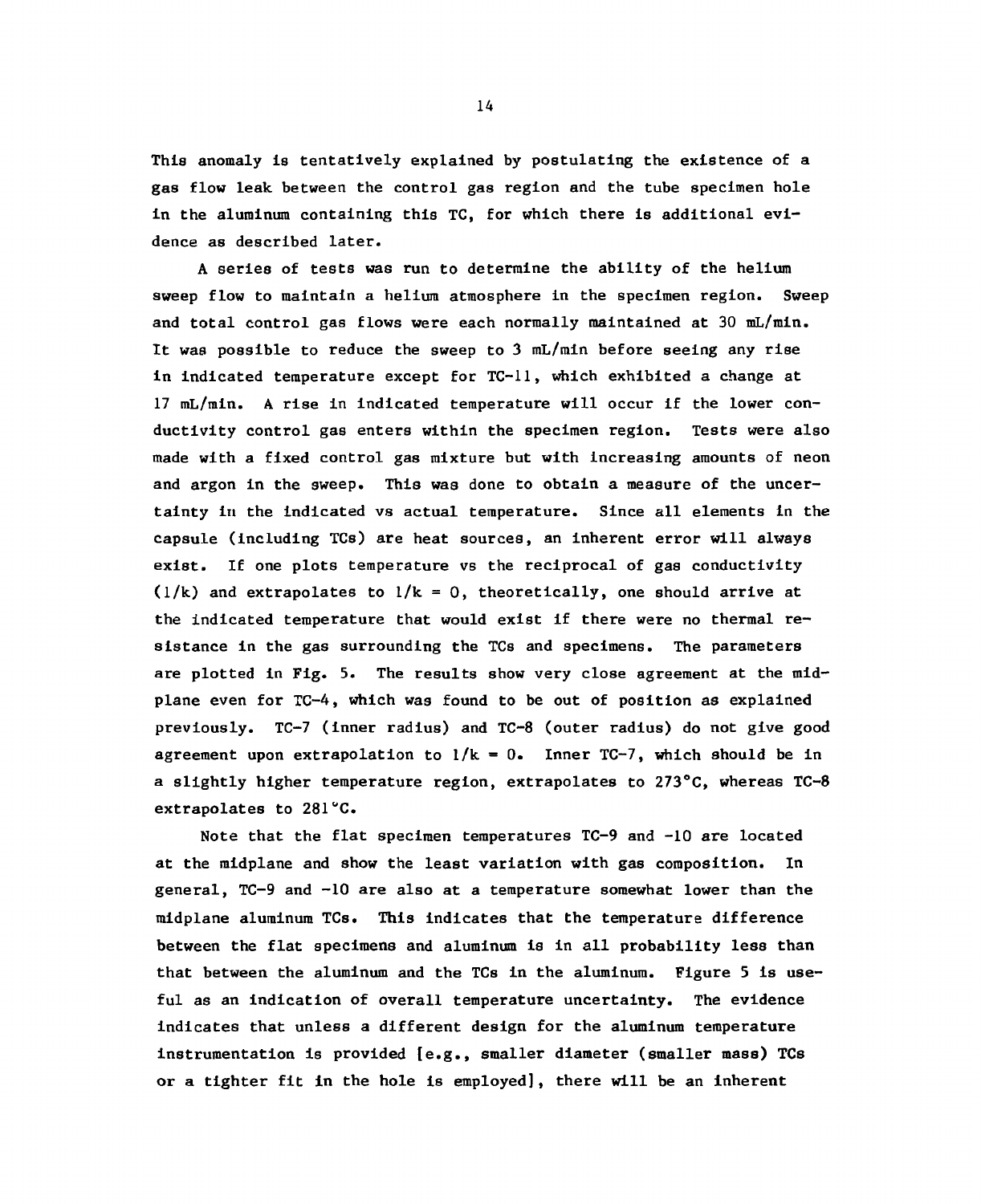This anomaly is tentatively explained by postulating the existence of a gas flow leak between the control gas region and the tube specimen hole in the aluminum containing this TC, for which there is additional evidence as described later.

A series of tests was run to determine the ability of the helium sweep flow to maintain a helium atmosphere in the specimen region. Sweep and total control gas flows were each normally maintained at 30 mL/min. It was possible to reduce the sweep to 3 mL/min before seeing any rise in indicated temperature except for TC-11, which exhibited a change at 17 mL/min. A rise in indicated temperature will occur if the lower conductivity control gas enters within the specimen region. Tests were also made with a fixed control gas mixture but with increasing amounts of neon and argon in the sweep. This was done to obtain a measure of the uncertainty in the indicated vs actual temperature. Since all elements in the capsule (including TCs) are heat sources, an inherent error will always exist. If one plots temperature vs the reciprocal of gas conductivity  $(1/k)$  and extrapolates to  $1/k = 0$ , theoretically, one should arrive at the indicated temperature that would exist if there were no thermal resistance in the gas surrounding the TCs and specimens. The parameters are plotted in Fig. 5. The results show very close agreement at the midplane even for TC-4, which was found to be out of position as explained previously. TC-7 (inner radius) and TC-8 (outer radius) do not give good agreement upon extrapolation to  $1/k = 0$ . Inner TC-7, which should be in a slightly higher temperature region, extrapolates to 273°C, whereas TC-8 extrapolates to 281°C.

Note that the flat specimen temperatures TC-9 and -10 are located at the midplane and show the least variation with gas composition. In general, TC-9 and -10 are also at a temperature somewhat lower than the midplane aluminum TCs. This indicates that the temperature difference between the flat specimens and aluminum is in all probability less than that between the aluminum and the TCs in the aluminum. Figure 5 is useful as an indication of overall temperature uncertainty. The evidence indicates that unless a different design for the aluminum temperature instrumentation is provided [e.g., smaller diameter (smaller mass) TCs or a tighter fit in the hole is employed], there will be an inherent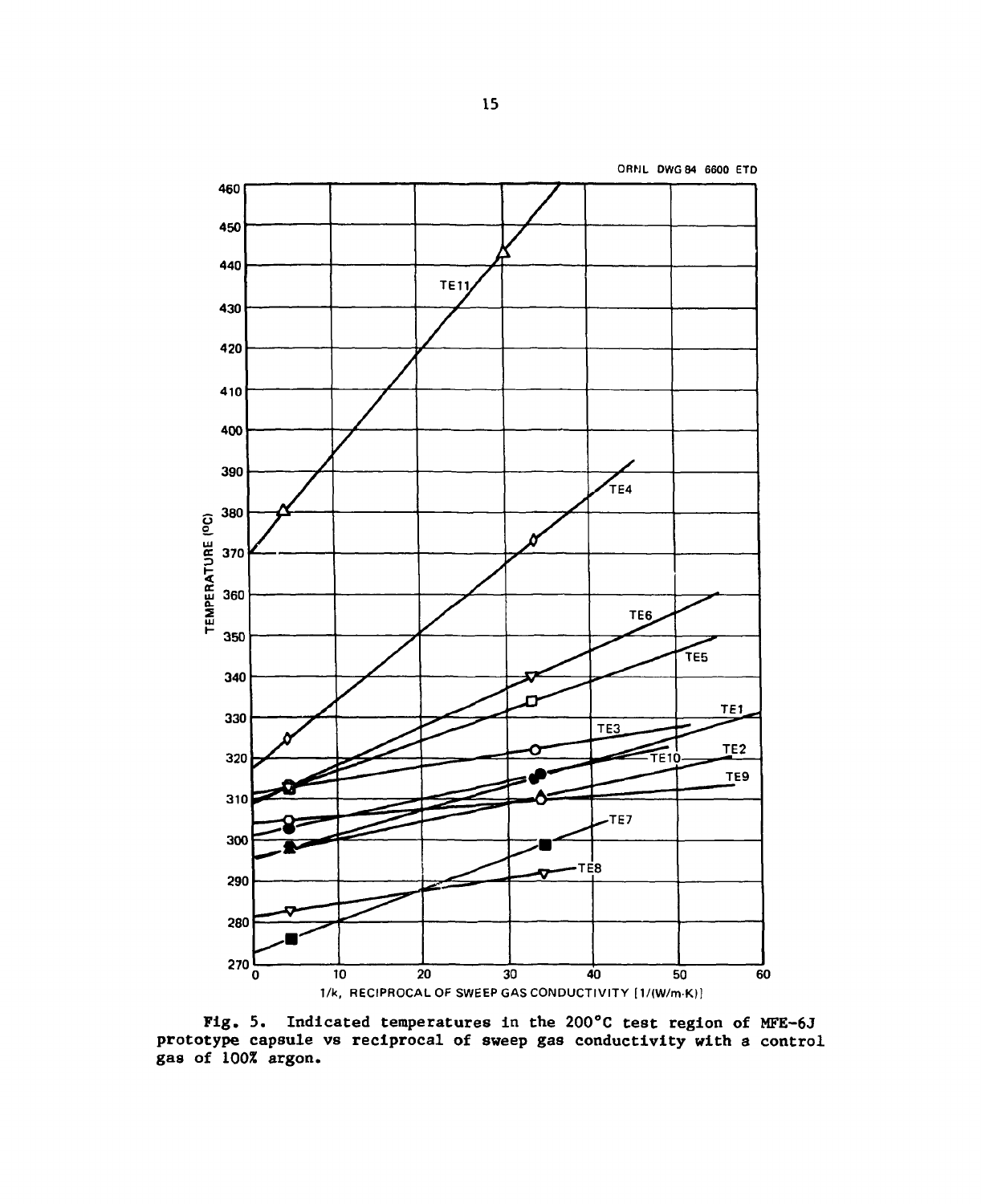

Fig. 5. Indicated temperatures in the 200°C test region of MFE-6J prototype capsule vs reciprocal of sweep gas conductivity with a control gas of 100% argon.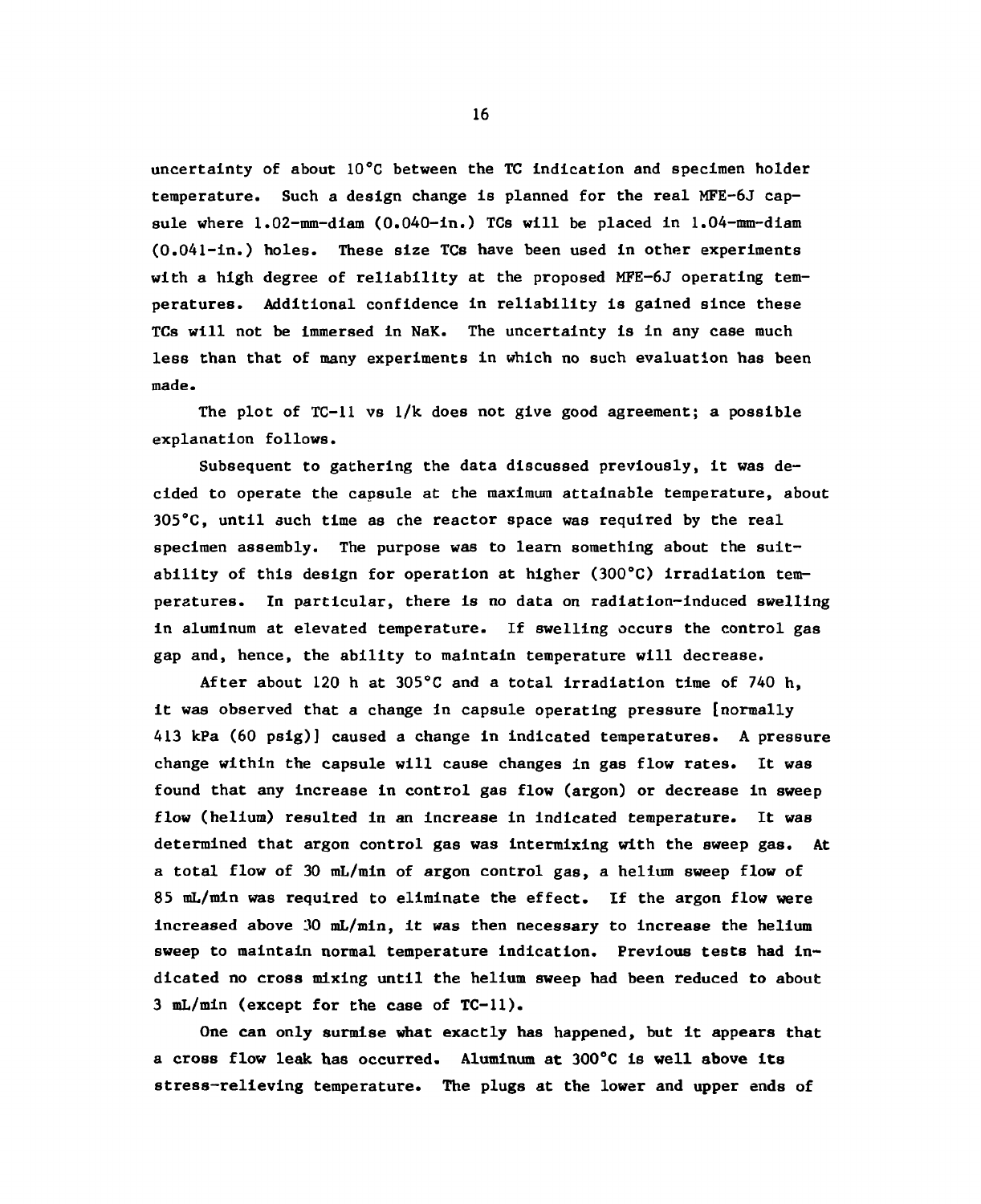uncertainty of about 10°C between the TC indication and specimen holder temperature. Such a design change is planned for the real MFE-6J capsule where 1.02-mm-diam (0.040-in.) TCs will be placed in 1.04-mm-diam (0.04l-in.) holes. These size TCs have been used in other experiments with a high degree of reliability at the proposed MFE-6J operating temperatures. Additional confidence in reliability is gained since these TCs will not be immersed in NaK. The uncertainty is in any case much less than that of many experiments in which no such evaluation has been made.

The plot of  $TC-11$  vs  $1/k$  does not give good agreement; a possible explanation follows.

Subsequent to gathering the data discussed previously, it was decided to operate the capsule at the maximum attainable temperature, about 305°C, until such time as che reactor space was required by the real specimen assembly. The purpose was to learn something about the suitability of this design for operation at higher (300°C) irradiation temperatures. In particular, there is no data on radiation-induced swelling in aluminum at elevated temperature. If swelling occurs the control gas gap and, hence, the ability to maintain temperature will decrease.

After about 120 h at 305°C and a total irradiation time of 740 h, it was observed that a change in capsule operating pressure [normally 413 kPa (60 psig)] caused a change in indicated temperatures. A pressure change within the capsule will cause changes in gas flow rates. It was found that any increase in control gas flow (argon) or decrease in sweep flow (helium) resulted in an increase in indicated temperature. It was determined that argon control gas was intermixing with the sweep gas. At a total flow of 30 mL/min of argon control gas, a helium sweep flow of 85 mL/min was required to eliminate the effect. If the argon flow were increased above 30 mL/min, it was then necessary to increase the helium sweep to maintain normal temperature indication. Previous tests had indicated no cross mixing until the helium sweep had been reduced to about 3 mL/min (except for the case of TC-11).

One can only surmise what exactly has happened, but it appears that a cross flow leak has occurred. Aluminum at 300°C is well above its stress-relieving temperature. The plugs at the lower and upper ends of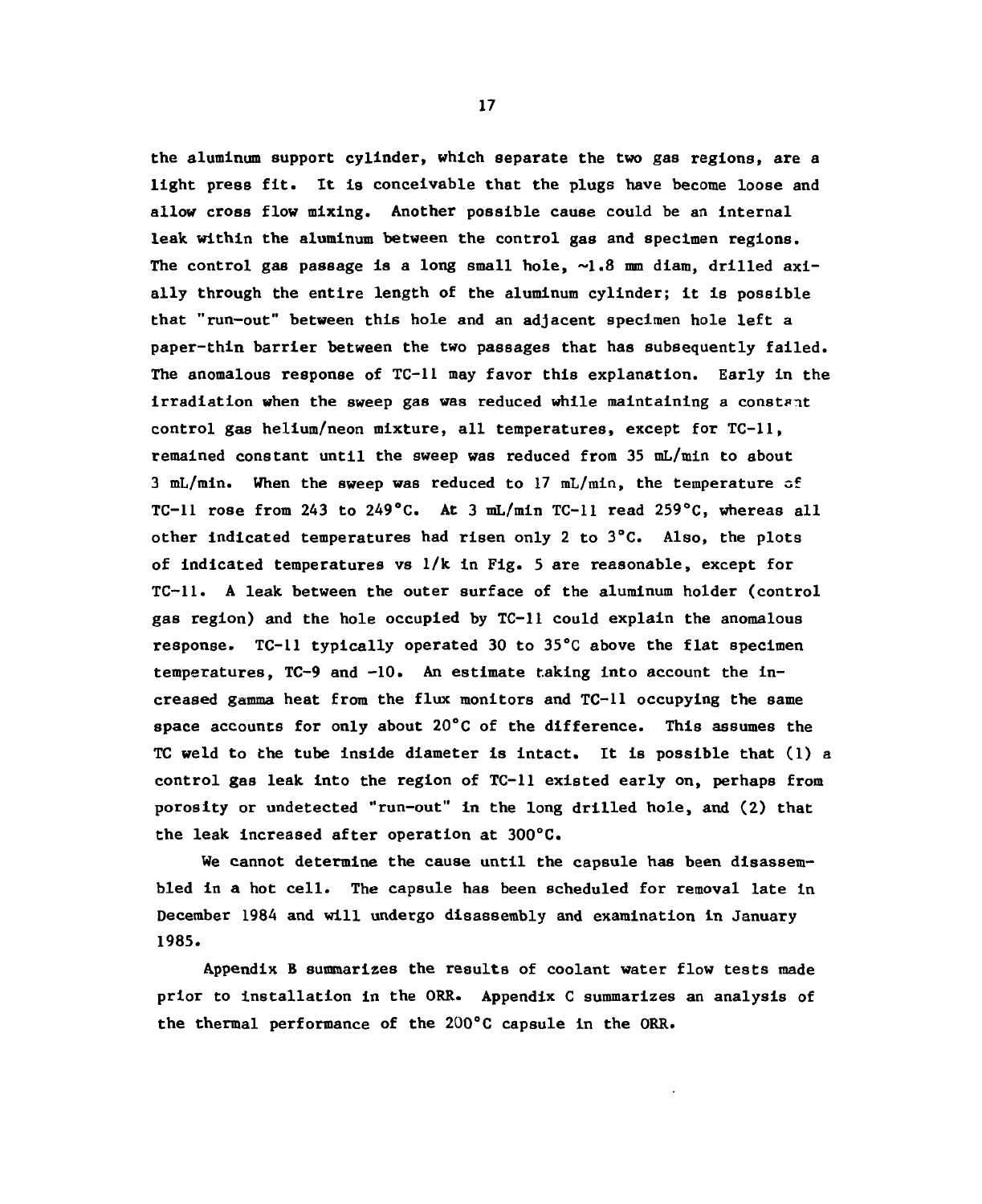the aluminum support cylinder, which separate the two gas regions, are a light press fit. It is conceivable that the plugs have become loose and allow cross flow mixing. Another possible cause could be an Internal leak within the aluminum between the control gas and specimen regions. The control gas passage is a long small hole,  $\sim 1.8$  mm diam, drilled axially through the entire length of the aluminum cylinder; it is possible that "run-out" between this hole and an adjacent specimen hole left a paper-thin barrier between the two passages that has subsequently failed. The anomalous response of TC-11 may favor this explanation. Early in the irradiation when the sweep gas was reduced while maintaining a constant control gas helium/neon mixture, all temperatures, except for TC-11, remained constant until the sweep was reduced from 35 mL/min to about 3 mL/min. When the sweep was reduced to 17 mL/min, the temperature of TC-11 rose from 243 to 249°C. At 3 mL/min TC-11 read 259°C, whereas all other indicated temperatures had risen only 2 to 3°C. Also, the plots of indicated temperatures vs 1/k in Fig. 5 are reasonable, except for TC-11. A leak between the outer surface of the aluminum holder (control gas region) and the hole occupied by TC-11 could explain the anomalous response. TC-11 typically operated 30 to 35°C above the flat specimen temperatures, TC-9 and -10. An estimate taking into account the increased gamma heat from the flux monitors and TC-11 occupying the same space accounts for only about 20°C of the difference. This assumes the TC weld to the tube inside diameter is intact. It Is possible that (1) a control gas leak into the region of TC-11 existed early on, perhaps from porosity or undetected "run-out" in the long drilled hole, and (2) that the leak increased after operation at 300°C.

We cannot determine the cause until the capsule has been disassembled in a hot cell. The capsule has been scheduled for removal late in December 1984 and will undergo disassembly and examination in January 1985.

Appendix B summarizes the results of coolant water flow tests made prior to installation in the ORR. Appendix C summarizes an analysis of the thermal performance of the 200°C capsule in the ORR.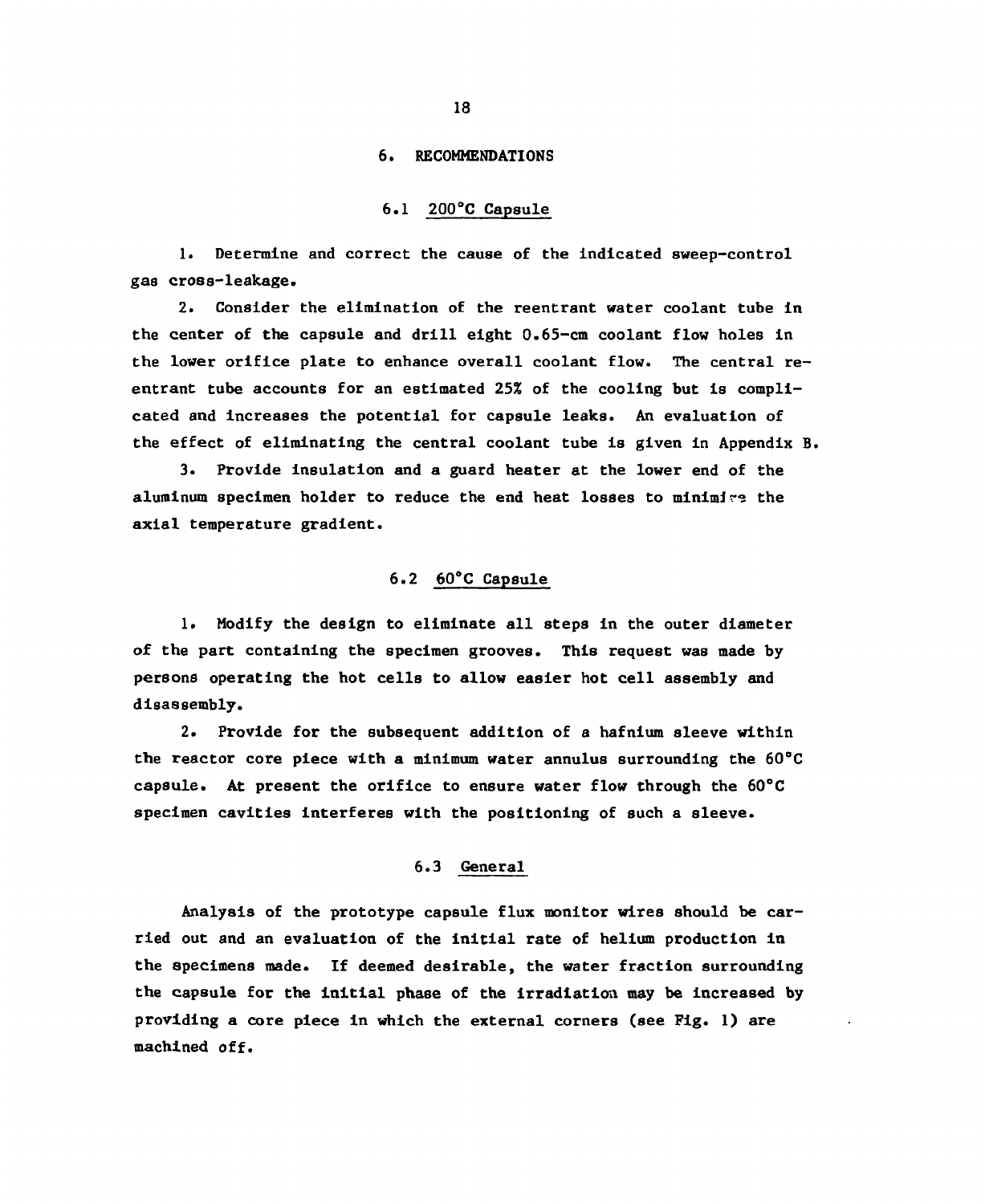#### 6. RECOMMENDATIONS

### 6.1 200°C Capsule

1. Determine and correct the cause of the Indicated sweep-control gas cross-leakage.

2. Consider the elimination of the reentrant water coolant tube in the center of the capsule and drill eight 0.65-cm coolant flow holes in the lower orifice plate to enhance overall coolant flow. The central reentrant tube accounts for an estimated 25% of the cooling but is complicated and increases the potential for capsule leaks. An evaluation of the effect of eliminating the central coolant tube is given in Appendix B.

3. Provide insulation and a guard heater at the lower end of the aluminum specimen holder to reduce the end heat losses to minimize the axial temperature gradient.

### 6.2 60°C Capsule

1. Modify the design to eliminate all steps in the outer diameter of the part containing the specimen grooves. This request was made by persons operating the hot cells to allow easier hot cell assembly and disassembly.

2. Provide for the subsequent addition of a hafnium sleeve within the reactor core piece with a minimum water annulus surrounding the 60°C capsule. At present the orifice to ensure water flow through the 60°C specimen cavities interferes with the positioning of such a sleeve.

### 6.3 General

Analysis of the prototype capsule flux monitor wires should be carried out and an evaluation of the initial rate of helium production in the specimens made. If deemed desirable, the water fraction surrounding the capsule for the initial phase of the irradiation may be increased by providing a core piece in which the external corners (see Fig. 1) are machined off.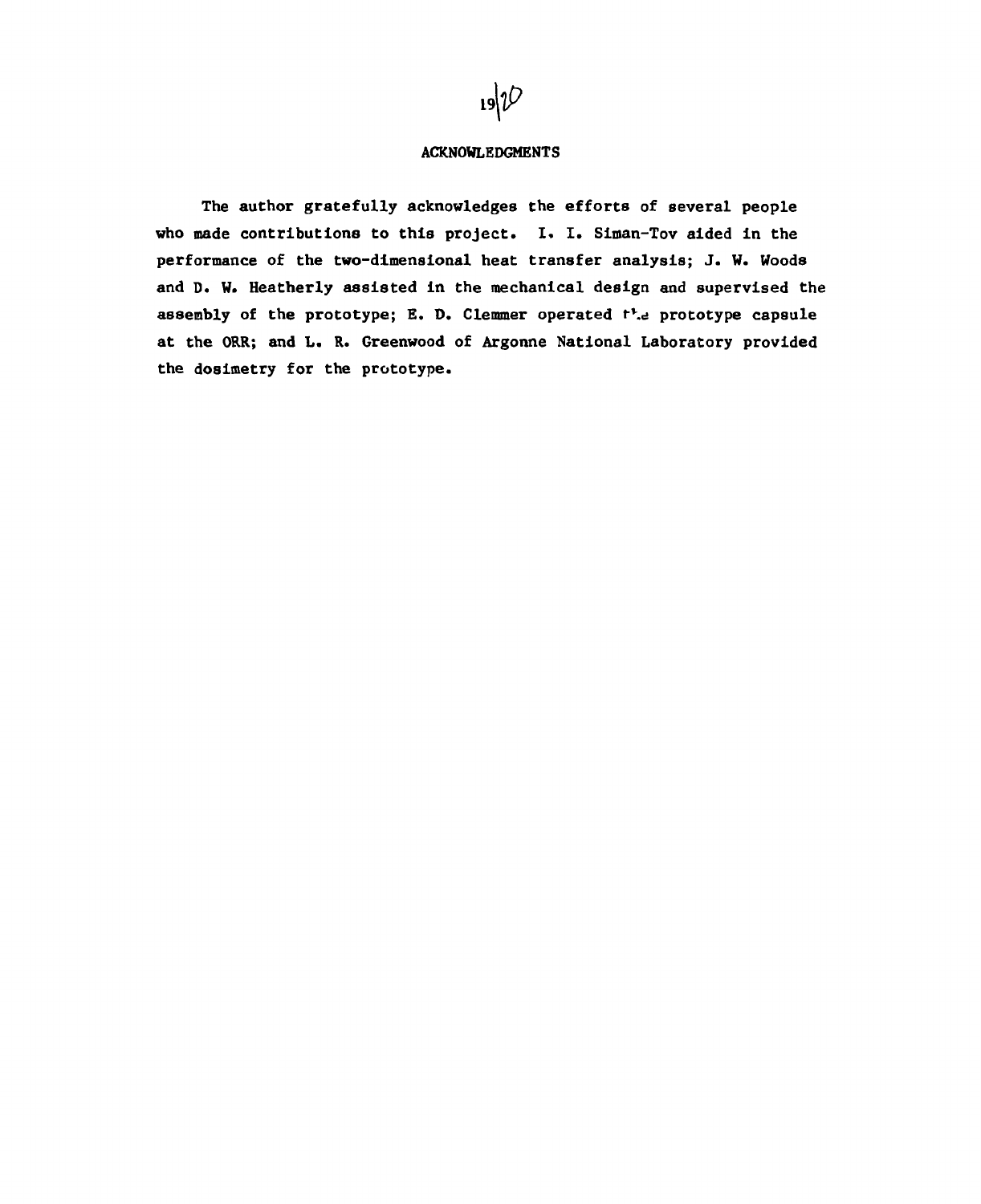

### ACKNOWLEDGMENTS

The author gratefully acknowledges the efforts of several people who made contributions to this project. I. I. Slman-Tov aided In the performance of the two-dimensional heat transfer analysis; J. W. Woods and D. W. Heatherly assisted In the mechanical design and supervised the assembly of the prototype; E. D. Clemmer operated  $t^1$ . prototype capsule at the ORR; and L. R. Greenwood of Argonne National Laboratory provided the dosimetry for the prototype.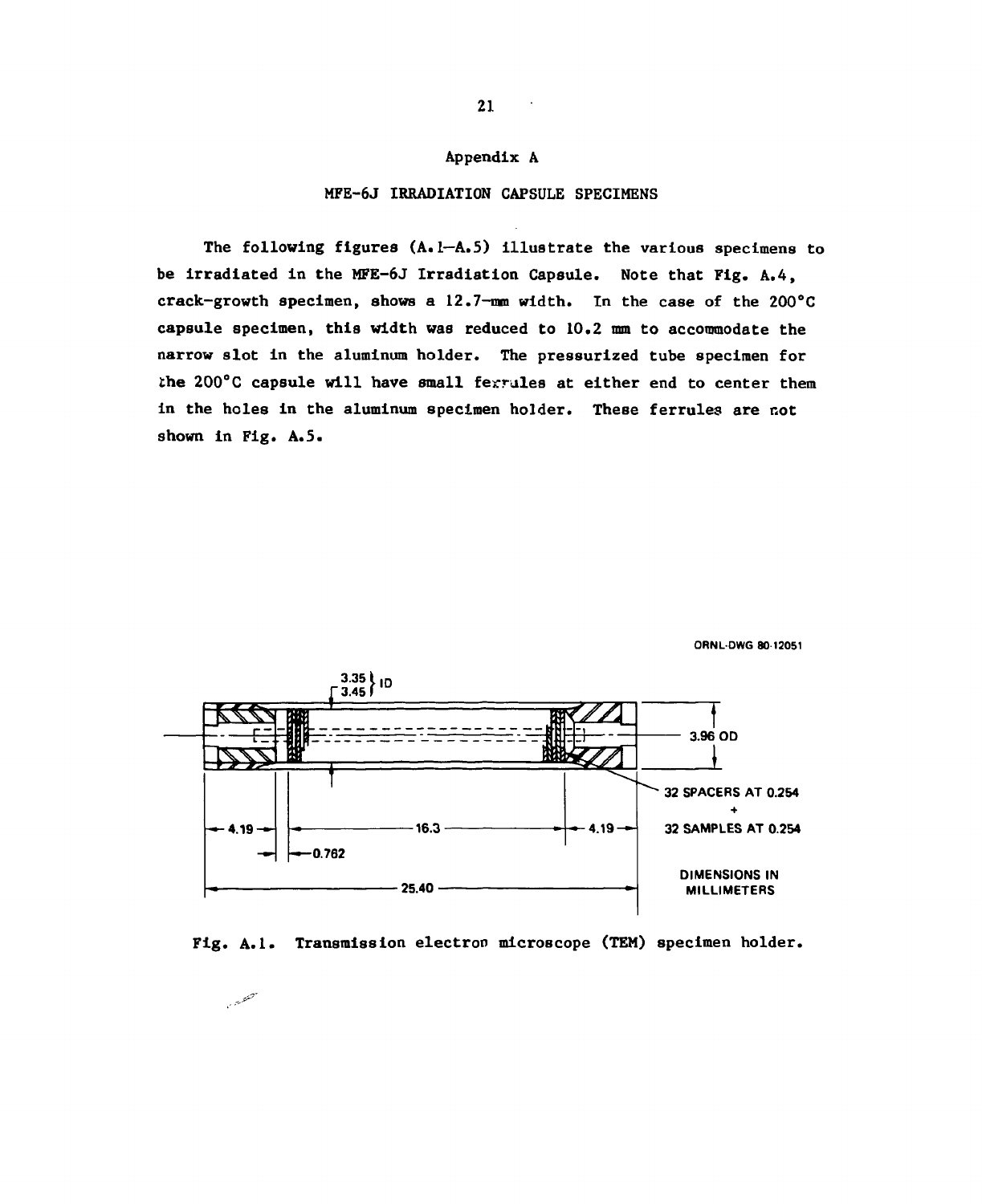### Appendix A

#### MFE-6J IRRADIATION CAPSULE SPECIMENS

The following figures (A. 1—A.5) Illustrate the various specimens to be Irradiated In the MFE-6J Irradiation Capsule. Note that Fig. A.4, crack-growth specimen, shows a 12.7-mm width. In the case of the 200°C capsule specimen, this width was reduced to 10.2 mm to accommodate the narrow slot in the aluminum holder. The pressurized tube specimen for the 200°C capsule will have small ferrules at either end to center them in the holes in the aluminum specimen holder. These ferrules are not shown in Fig. A.5.





Fig. A.1. Transmission electron microscope (TEM) specimen holder.

للمتعصبين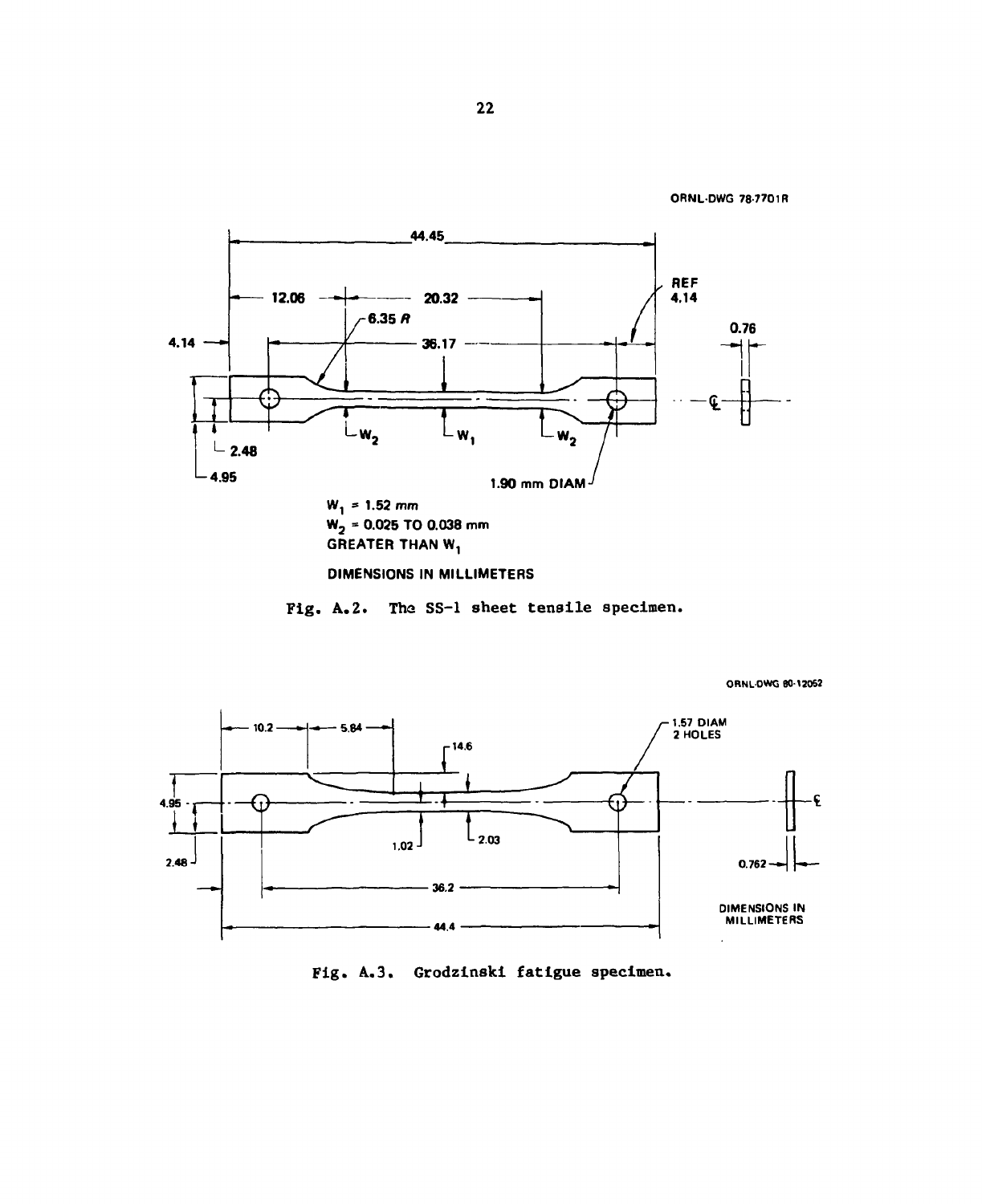```
ORNL-DWG 78 7701R
```






Fig. A.3. Grodzinski fatigue specimen.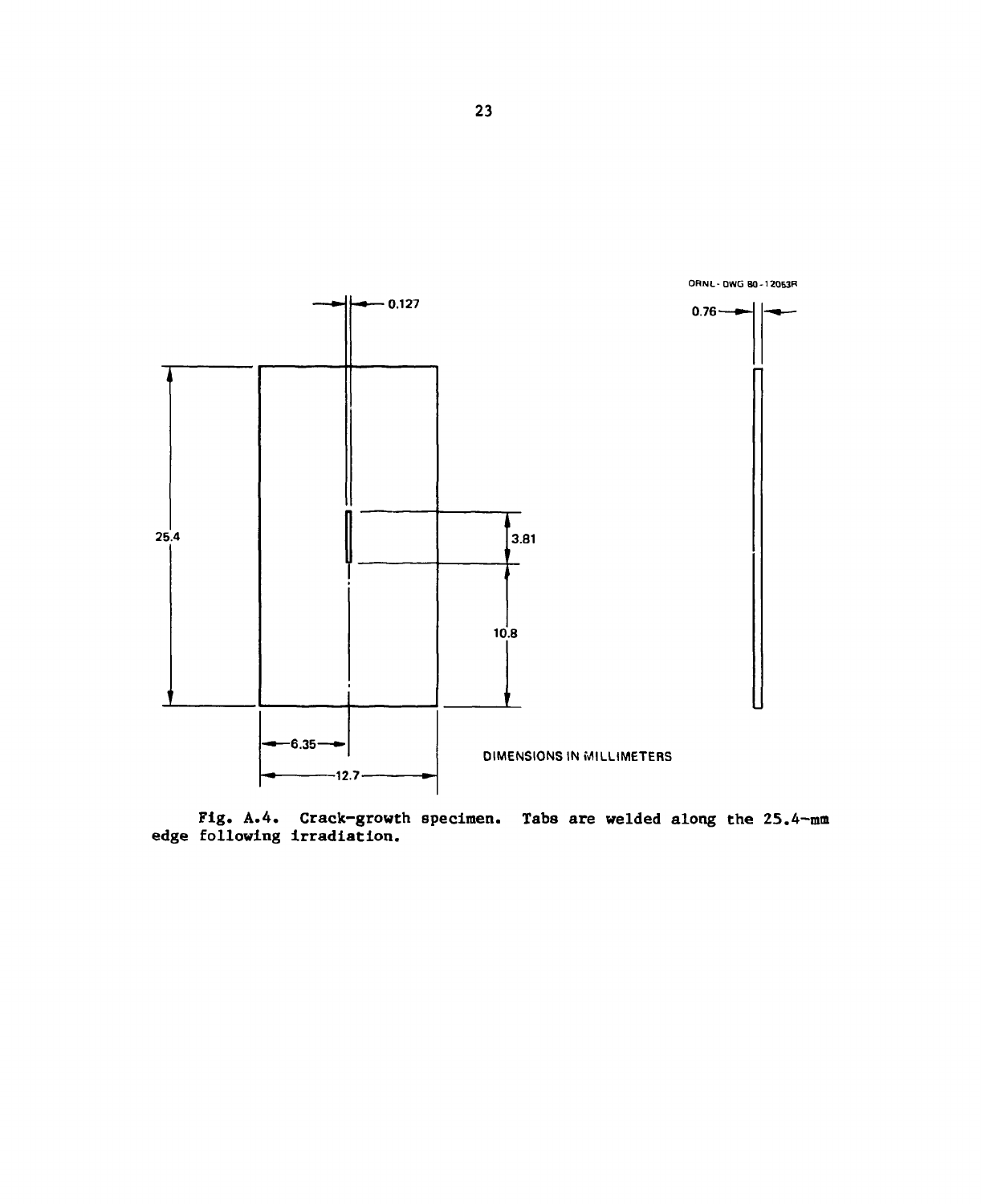

Fig. A.4. Crack-growth specimen. Tabs are welded along the 25.4-mm edge following Irradiation.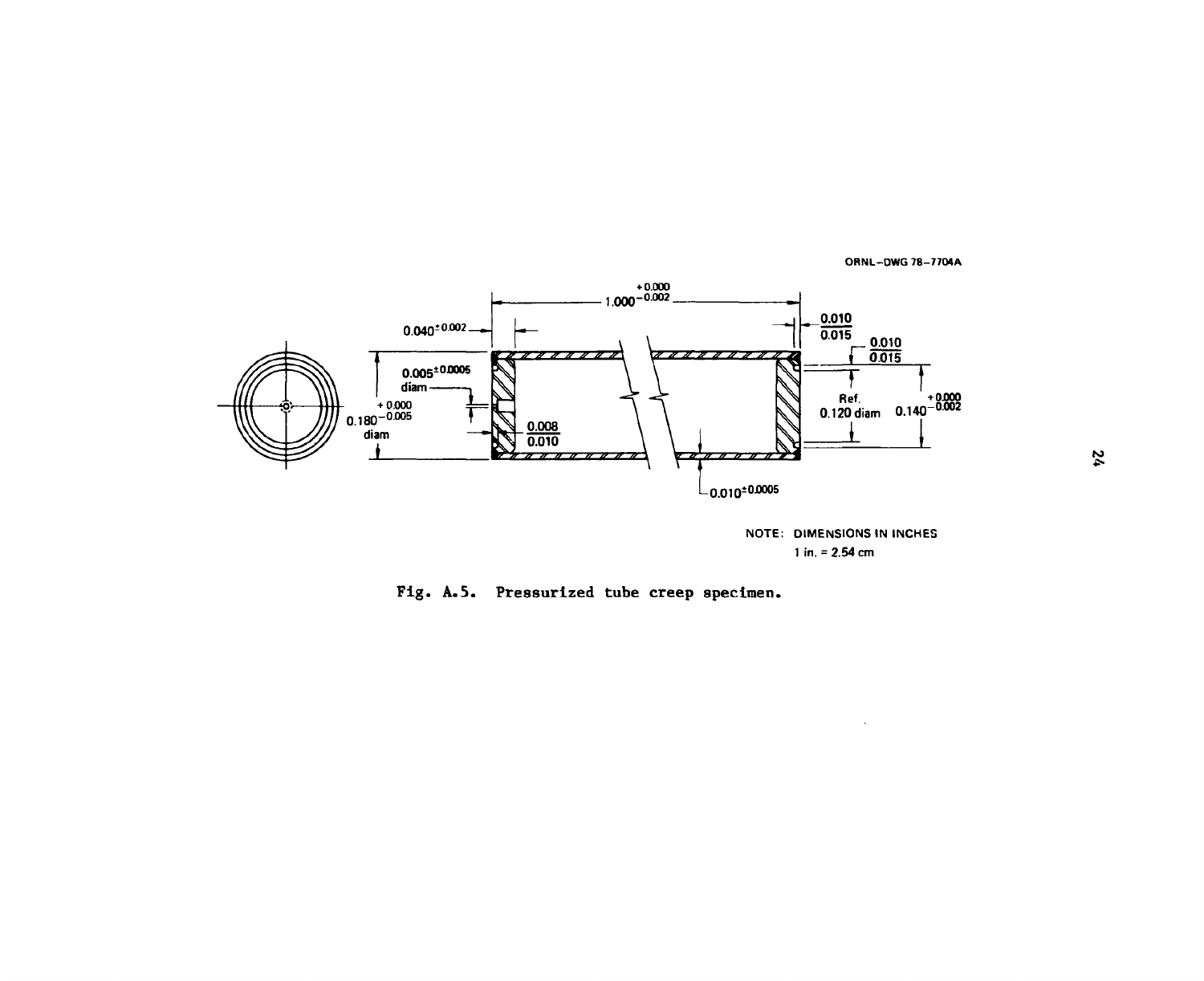ORNL—DWG 78—7704A



**NOTE: DIMENSIONS IN INCHES 1 in. = 2.54 cm** 

Fig. A.5. Pressurized tube creep specimen.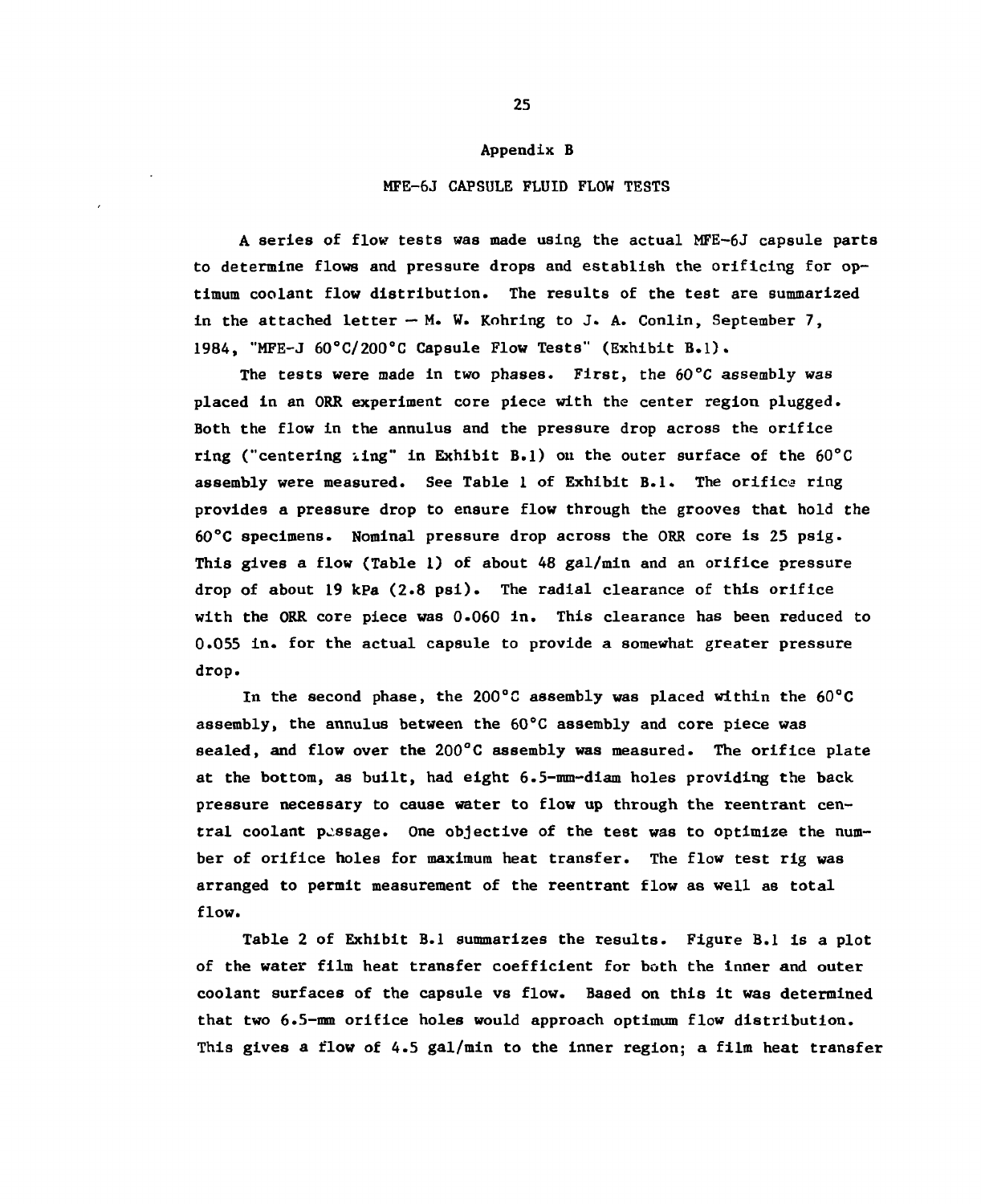#### Appendix B

### MFE-6J CAPSULE FLUID FLOW TESTS

A series of flow tests was made using the actual MFE-6J capsule parts to determine flows and pressure drops and establish the orificing for optimum coolant flow distribution. The results of the test are summarized in the attached letter  $-M$ . W. Kohring to J. A. Conlin, September 7, 1984, "MFE-J 60°C/200°C Capsule Flow Tests" (Exhibit B.l).

The tests were made in two phases. First, the 60°C assembly *was*  placed in an ORR experiment core piece with the center region plugged. Both the flow in the annulus and the pressure drop across the orifice ring ("centering iing" in Exhibit B.l) on the outer surface of the 60°C assembly were measured. See Table 1 of Exhibit B.l. The orifice ring provides a pressure drop to ensure flow through the grooves that hold the 60°C specimens. Nominal pressure drop across the ORR core is 25 psig. This gives a flow (Table 1) of about 48 gal/min and an orifice pressure drop of about 19 kPa (2.8 psi). The radial clearance of this orifice with the ORR core piece was 0.060 in. This clearance has been reduced to 0.055 in. for the actual capsule to provide a somewhat greater pressure drop.

In the second phase, the 200°C assembly was placed within the 60°C assembly, the annulus between the 60°C assembly and core piece was sealed, and flow over the  $200^{\circ}$ C assembly was measured. The orifice plate at the bottom, as built, had eight 6.5-mm-diam holes providing the back pressure necessary to cause water to flow up through the reentrant central coolant passage. One objective of the test was to optimize the number of orifice holes for maximum heat transfer. The flow test rig was arranged to permit measurement of the reentrant flow as well as total flow.

Table 2 of Exhibit B.l summarizes the results. Figure B.l is a plot of the water film heat transfer coefficient for both the inner and outer coolant surfaces of the capsule vs flow. Based on this it was determined that two 6.5-mm orifice holes would approach optimum flow distribution. This gives a flow of 4.5 gal/min to the inner region; a film heat transfer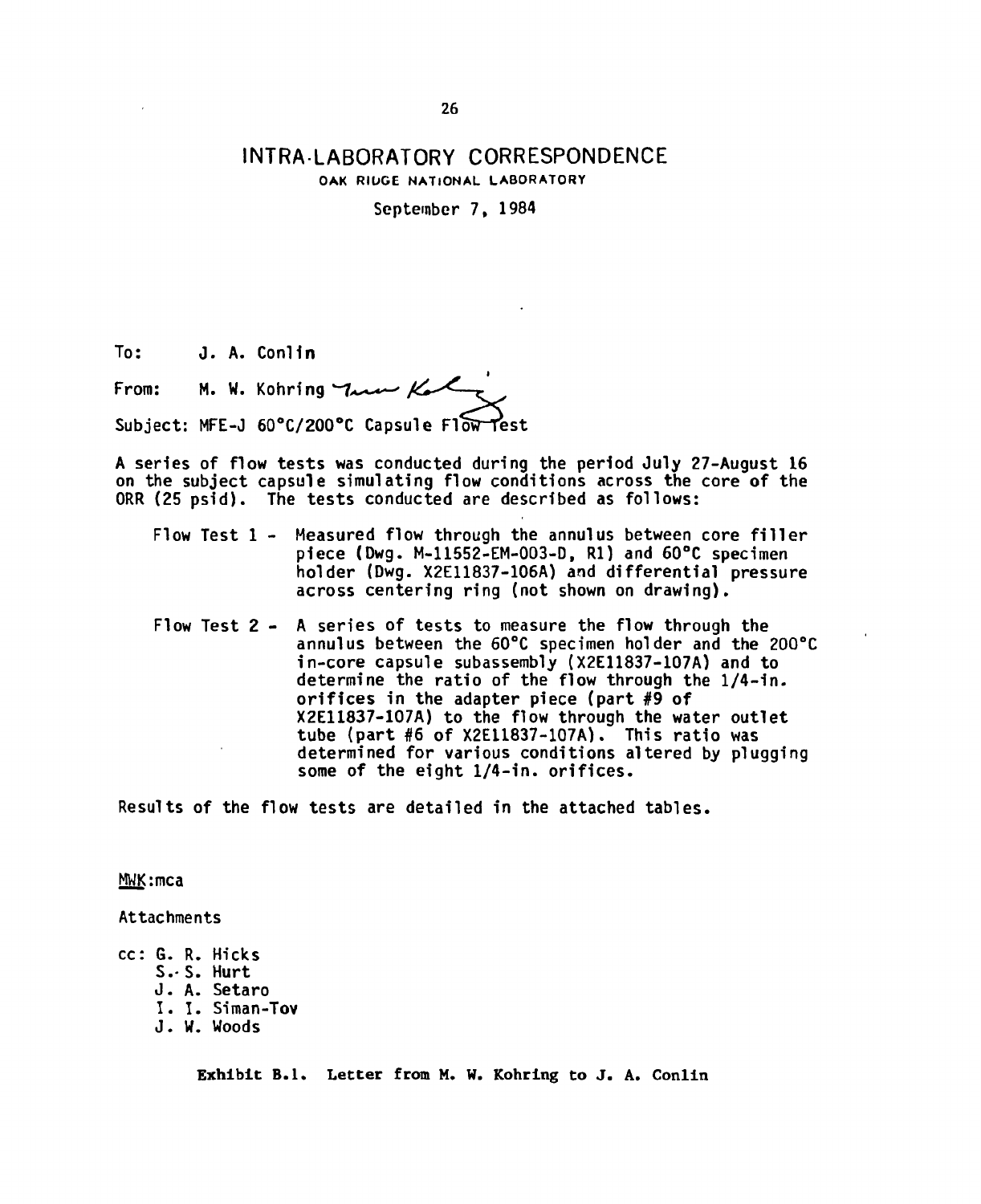# **INTRA-LABORATORY CORRESPONDENCE OAK RIDGE NATIONAL LABORATORY**

**September 7, 1984** 

**To: J. A. Conlln** 

**From: M. W. Kohring**  Subject: MFE-J 60°C/200°C Capsule Flow Test

**A series of flow tests was conducted during the period July 27-August 16 on the subject capsule simulating flow conditions across the core of the ORR (25 psid). The tests conducted are described as follows:** 

- Flow Test 1 Measured flow through the annulus between core filler **piece (Dwg. M-11552-EM-003-D, Rl) and 60°C specimen holder (Dwg. X2E11837-106A) and differential pressure across centering ring (not shown on drawing).**
- **Flow Test 2 A series of tests to measure the flow through the annul us between the 60°C specimen holder and the 200°C in-core capsule subassembly (X2E11837-107A) and to determine the ratio of the flow through the 1/4-in. orifices in the adapter piece (part #9 of X2E11837-107A) to the flow through the water outlet tube (part #6 of X2E11837-107A). This ratio was determined for various conditions altered by plugging some of the eight 1/4-in. orifices.**

**Results of the flow tests are detailed in the attached tables.** 

**MWKimca** 

**Attachments** 

**cc: G. R. Hicks** 

- **S.- S. Hurt**
- **J. A. Setaro**
- **I . I . Siman-Tov**
- **J. W. Woods**

Exhibit B.1. Letter from M. W. Kohring to J. A. Conlin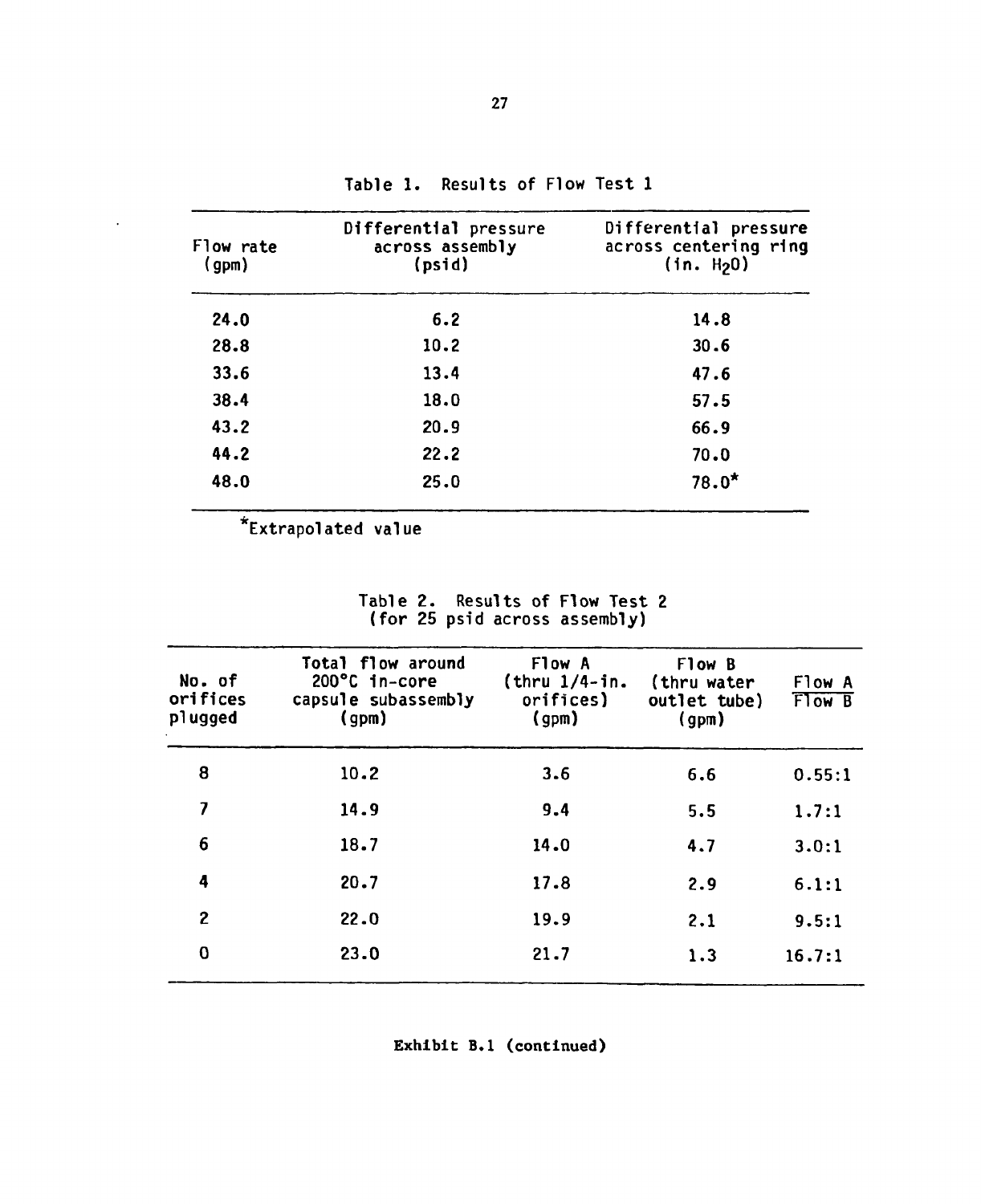| Flow rate<br>(gpm) | Differential pressure<br>across assembly<br>(psid) | Differential pressure<br>across centering ring<br>(in. H <sub>2</sub> 0) |
|--------------------|----------------------------------------------------|--------------------------------------------------------------------------|
| 24.0               | 6.2                                                | 14.8                                                                     |
| 28.8               | 10.2                                               | 30.6                                                                     |
| 33.6               | 13.4                                               | 47.6                                                                     |
| 38.4               | 18.0                                               | 57.5                                                                     |
| 43.2               | 20.9                                               | 66.9                                                                     |
| 44.2               | 22.2                                               | 70.0                                                                     |
| 48.0               | 25.0                                               | $78.0*$                                                                  |

**Table 1. Results of Flow Test 1** 

**\*Extrapolated value** 

 $\mathcal{A}^{\mathcal{A}}$ 

**Table 2. Results of Flow Test 2 (for 25 psid across assembly)** 

| No. of<br>orifices<br>plugged | Total flow around<br>200°C in-core<br>capsule subassembly<br>(gpm) | Flow A<br>$(thru 1/4-in.$<br>orifices)<br>(gpm) | Flow B<br>(thru water<br>outlet tube)<br>(gpm) | Flow A<br>From B |
|-------------------------------|--------------------------------------------------------------------|-------------------------------------------------|------------------------------------------------|------------------|
| 8                             | 10.2                                                               | 3.6                                             | 6.6                                            | 0.55:1           |
| 7                             | 14.9                                                               | 9.4                                             | 5.5                                            | 1.7:1            |
| 6                             | 18.7                                                               | 14.0                                            | 4.7                                            | 3.0:1            |
| 4                             | 20.7                                                               | 17.8                                            | 2.9                                            | 6.1:1            |
| 2                             | 22.0                                                               | 19.9                                            | 2.1                                            | 9.5:1            |
| 0                             | 23.0                                                               | 21.7                                            | 1.3                                            | 16.7:1           |

Exhibit B.l (continued)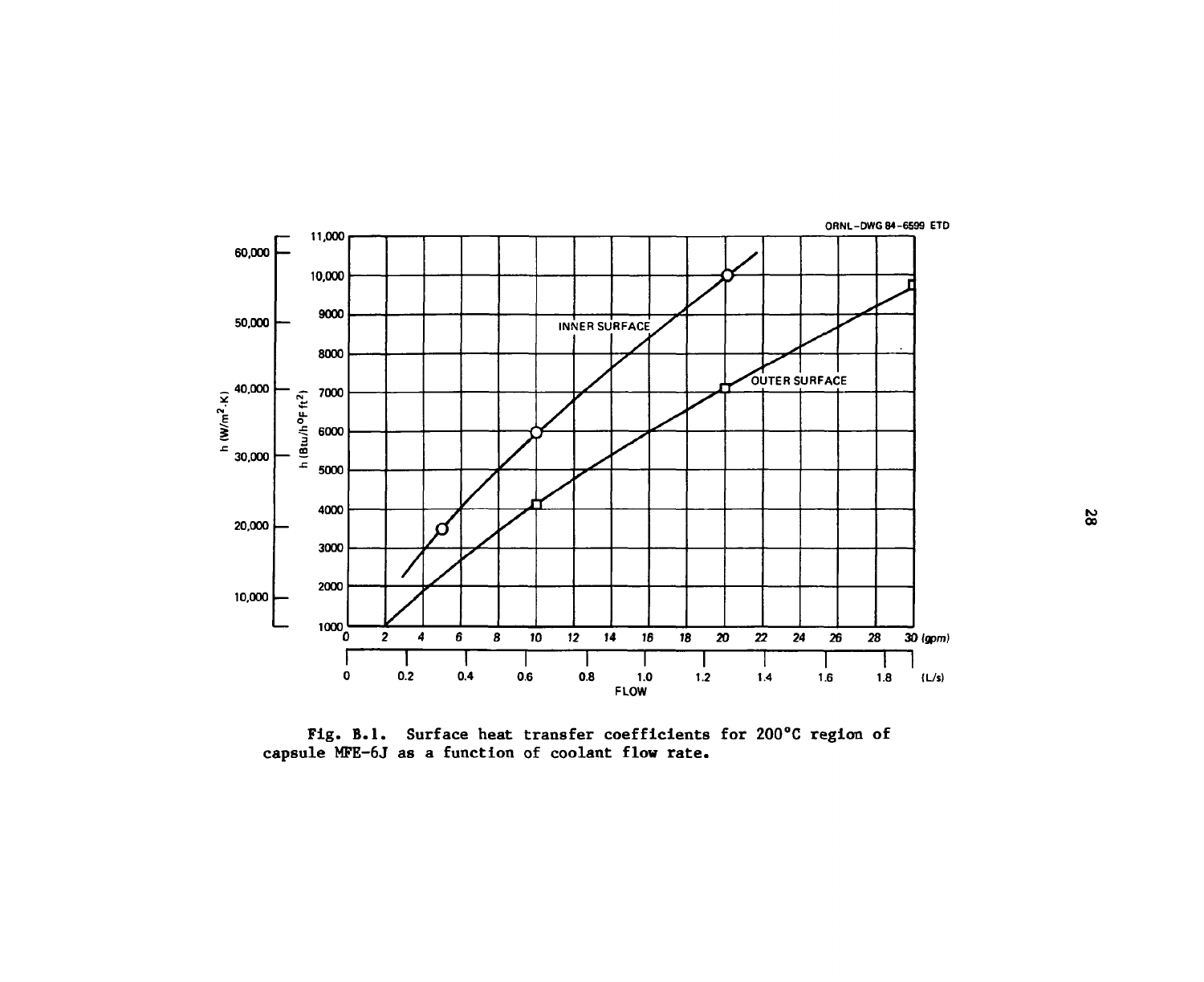

Fig. B.1. Surface heat transfer coefficients for 200°C region of capsule MFE-6J as a function of coolant flow rate.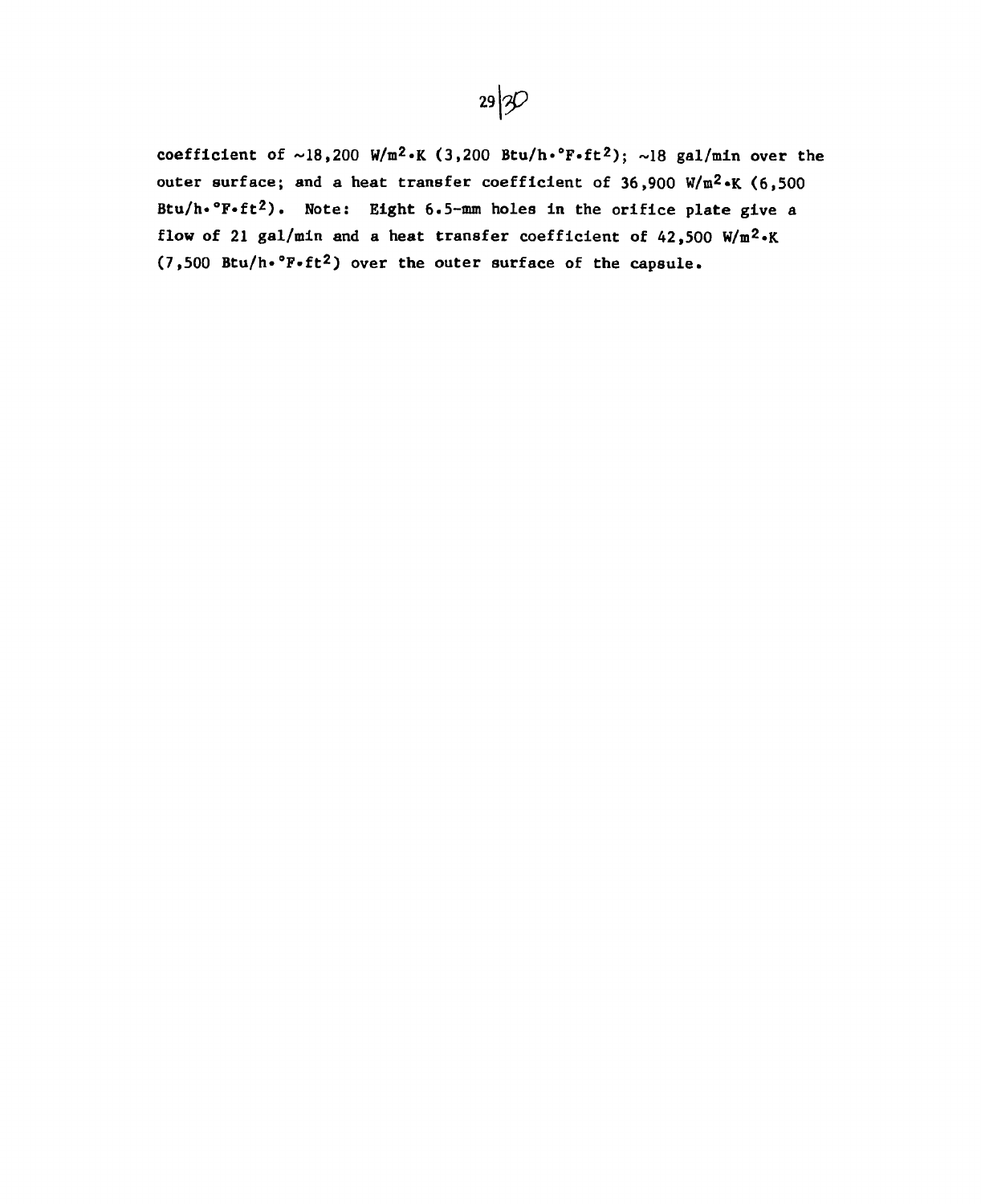

coefficient of  $\sim$ 18,200 W/m<sup>2</sup>.K (3,200 Btu/h. F.ft<sup>2</sup>);  $\sim$ 18 gal/min over the outer surface; and a heat transfer coefficient of 36,900 W/m2«K (6,500 Btu/h•°F•ft<sup>2</sup>). Note: Eight 6.5-mm holes in the orifice plate give a flow of 21 gal/min and a heat transfer coefficient of 42,500 W/m2»K (7,500 Btu/h\*°F»ft2) over the outer surface of the capsule.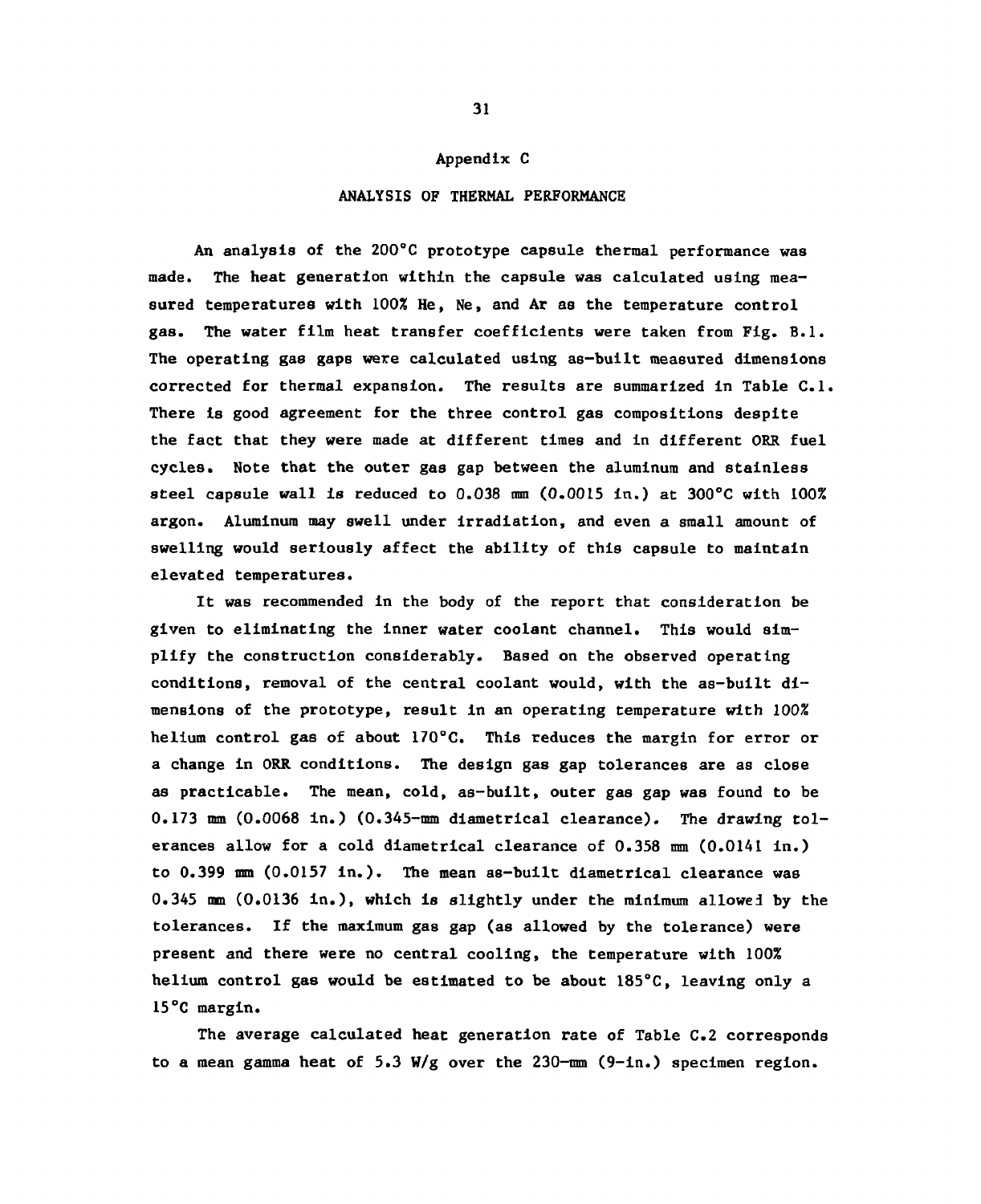#### Appendix C

#### ANALYSIS OF THERMAL PERFORMANCE

An analysis of the 200°C prototype capsule thermal performance was made. The heat generation within the capsule was calculated using measured temperatures with 100% He, Ne, and Ar as the temperature control gas. The water film heat transfer coefficients were taken from Fig. B.l. The operating gas gaps were calculated using as-built measured dimensions corrected for thermal expansion. The results are summarized In Table C.l. There is good agreement for the three control gas compositions despite the fact that they were made at different times and in different ORR fuel cycles. Note that the outer gas gap between the aluminum and stainless steel capsule wall is reduced to  $0.038$  mm  $(0.0015 \text{ in.})$  at  $300^{\circ}$ C with  $100\%$ argon. Aluminum may swell under Irradiation, and even a small amount of swelling would seriously affect the ability of this capsule to maintain elevated temperatures.

It was recommended in the body of the report that consideration be given to eliminating the inner water coolant channel. This would simplify the construction considerably. Based on the observed operating conditions, removal of the central coolant would, with the as-built dimensions of the prototype, result in an operating temperature with 100% helium control gas of about 170°C. This reduces the margin for error or a change in ORR conditions. The design gas gap tolerances are as close as practicable. The mean, cold, as-built, outer gas gap was found to be 0.173 mm (0.0068 in.) (0.345-mm diametrical clearance). The drawing tolerances allow for a cold diametrical clearance of 0.358 mm (0.0141 in.) to 0.399 mm (0.0157 in.). The mean as-built diametrical clearance was 0.345 mm (0.0136 in.), which is slightly under the minimum allowed by the tolerances. If the maximum gas gap (as allowed by the tolerance) were present and there were no central cooling, the temperature with 100% helium control gas would be estimated to be about 185°C, leaving only a 15°C margin.

The average calculated heat generation rate of Table C.2 corresponds to a mean gamma heat of 5.3 W/g over the 230- $\text{mm}$  (9-in.) specimen region.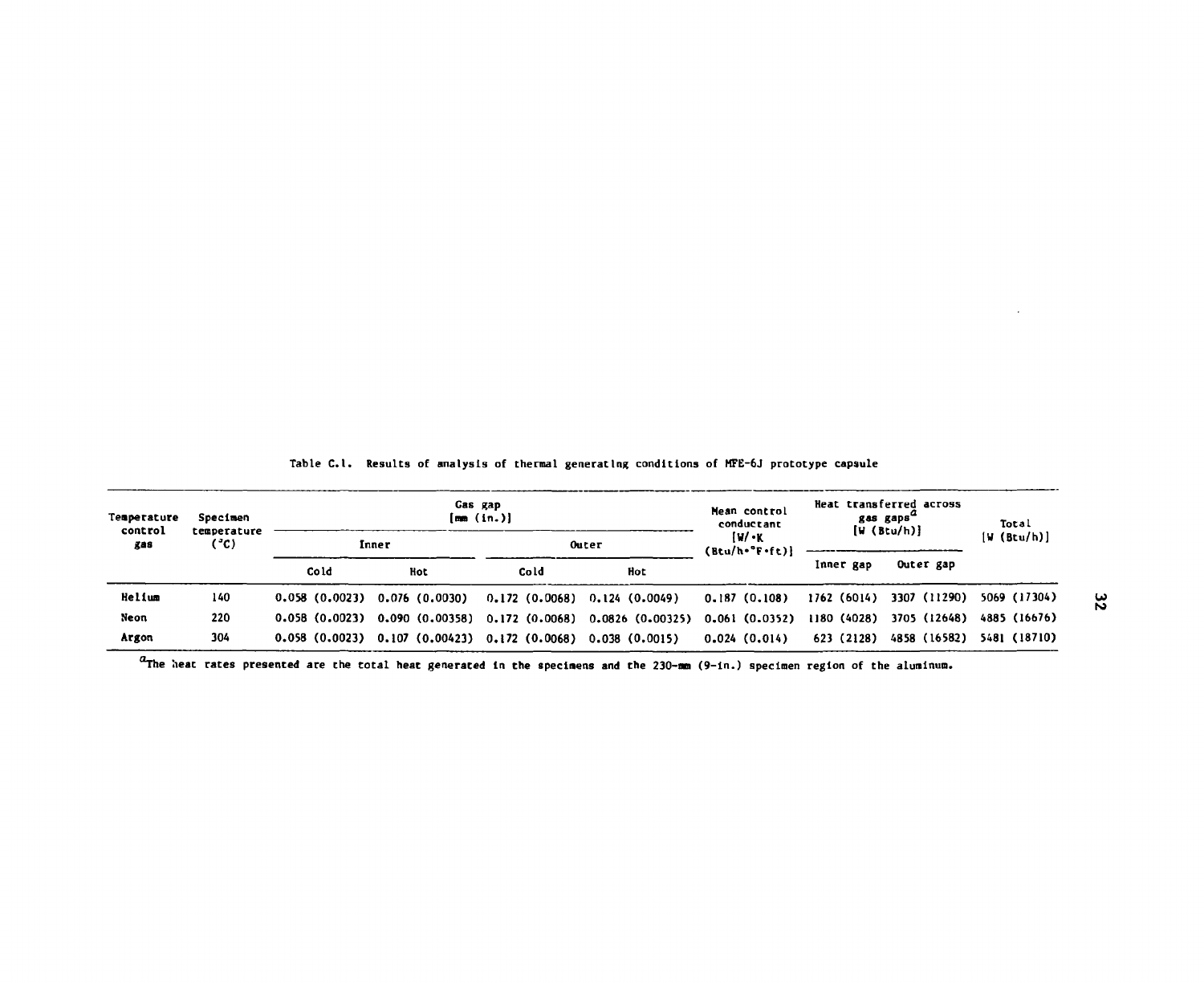| Temperature<br>control | Specimen<br>temperature<br>(°c) | Gas gap<br>[mm (in.)] |                                                                              |            | Mean control<br>conductant                                             | Heat transferred across<br>gas gaps <sup>"</sup><br>[W (Btu/h)] |             | Total                    |              |  |
|------------------------|---------------------------------|-----------------------|------------------------------------------------------------------------------|------------|------------------------------------------------------------------------|-----------------------------------------------------------------|-------------|--------------------------|--------------|--|
| gas                    |                                 |                       | Inner                                                                        |            | Outer                                                                  | $11/$ $\cdot$ K<br>$(Btu/h \cdot 'F \cdot f t)$                 |             |                          | [W (Btu/h)]  |  |
|                        |                                 |                       | Cold                                                                         | <b>Hot</b> | Cold                                                                   | Hot                                                             |             | Inner gap                | Outer gap    |  |
| Helium                 | 140                             |                       | $0.058$ (0.0023) 0.076 (0.0030)                                              |            | $0.172$ (0.0068) $0.124$ (0.0049)                                      | 0.187(0.108)                                                    |             | 1762 (6014) 3307 (11290) | 5069 (17304) |  |
| Neon                   | 220                             |                       |                                                                              |            | $0.058$ (0.0023) $0.090$ (0.00358) $0.172$ (0.0068) $0.0826$ (0.00325) | 0.061 (0.0352)                                                  | 1180 (4028) | 3705 (12648)             | 4885 (16676) |  |
| Argon                  | 304                             |                       | $0.058$ $(0.0023)$ $0.107$ $(0.00423)$ $0.172$ $(0.0068)$ $0.038$ $(0.0015)$ |            |                                                                        | 0.024(0.014)                                                    | 623 (2128)  | 4858 (16582)             | 5481 (18710) |  |

Table C.l. Results of analysis of thermal generating conditions of MFE-6J prototype capsule

 $u$ The heat rates presented are the total heat generated in the specimens and the 230—mm (9-in.) specimen region of the aluminum.

 $\ddot{\phantom{a}}$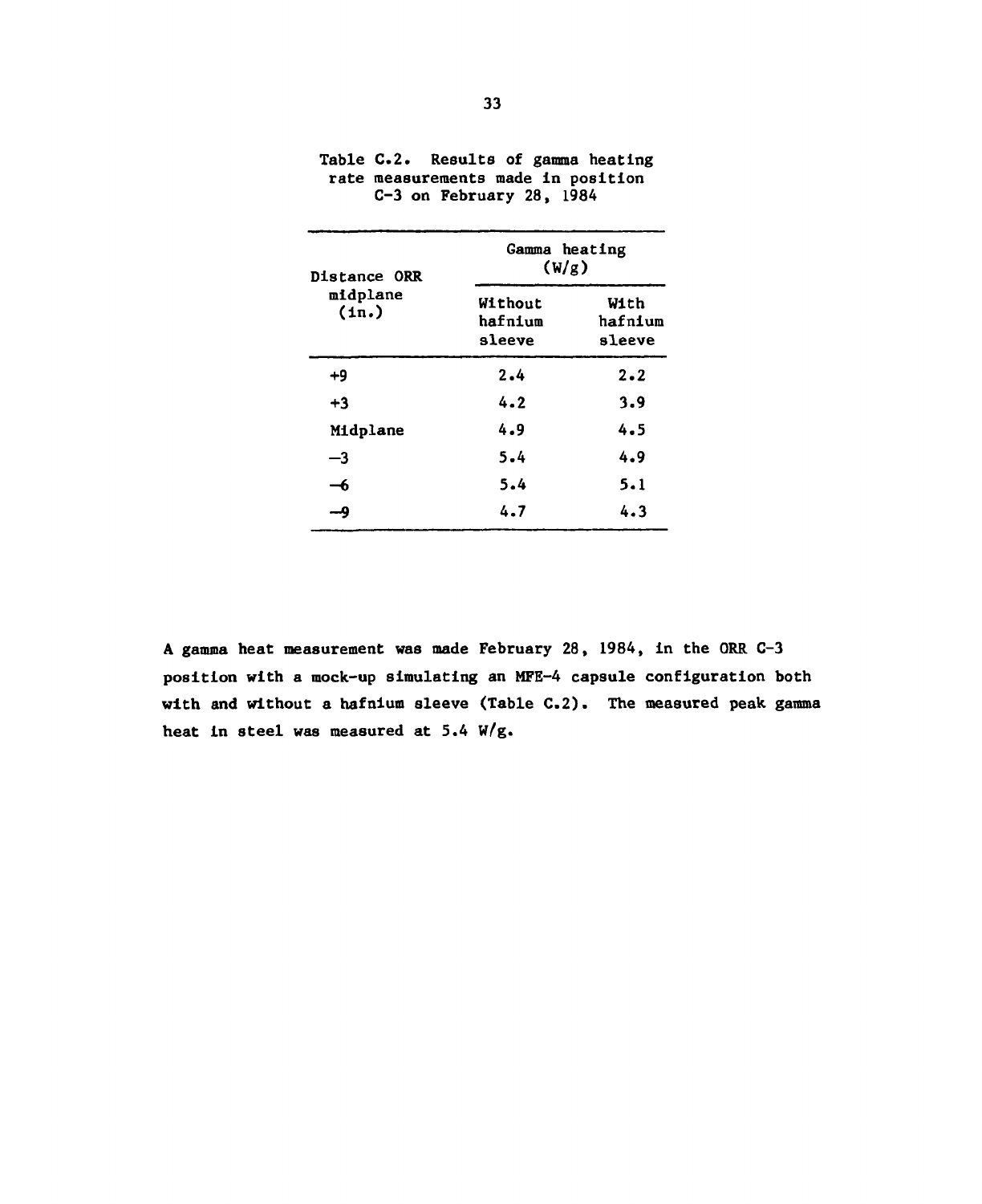| Distance ORR      | Gamma heating<br>(W/g)       |                           |  |  |
|-------------------|------------------------------|---------------------------|--|--|
| midplane<br>(in.) | Without<br>hafnium<br>sleeve | With<br>hafnium<br>sleeve |  |  |
| $+9$              | 2.4                          | $2 - 2$                   |  |  |
| $+3$              | 4.2                          | 3.9                       |  |  |
| Midplane          | 4.9                          | 4.5                       |  |  |
| —3                | 5.4                          | 4.9                       |  |  |
| -6                | 5.4                          | 5.1                       |  |  |
| -9                | 4.7                          | 4.3                       |  |  |

### Table C.2. Results of gamma heating rate measurements made in position C-3 on February 28, 1984

A gamma heat measurement was made February 28, 1984, in the ORR C-3 position with a mock-up simulating an MFE-4 capsule configuration both with and without a hafnium sleeve (Table C.2). The measured peak gamma heat in steel was measured at 5.4 W/g.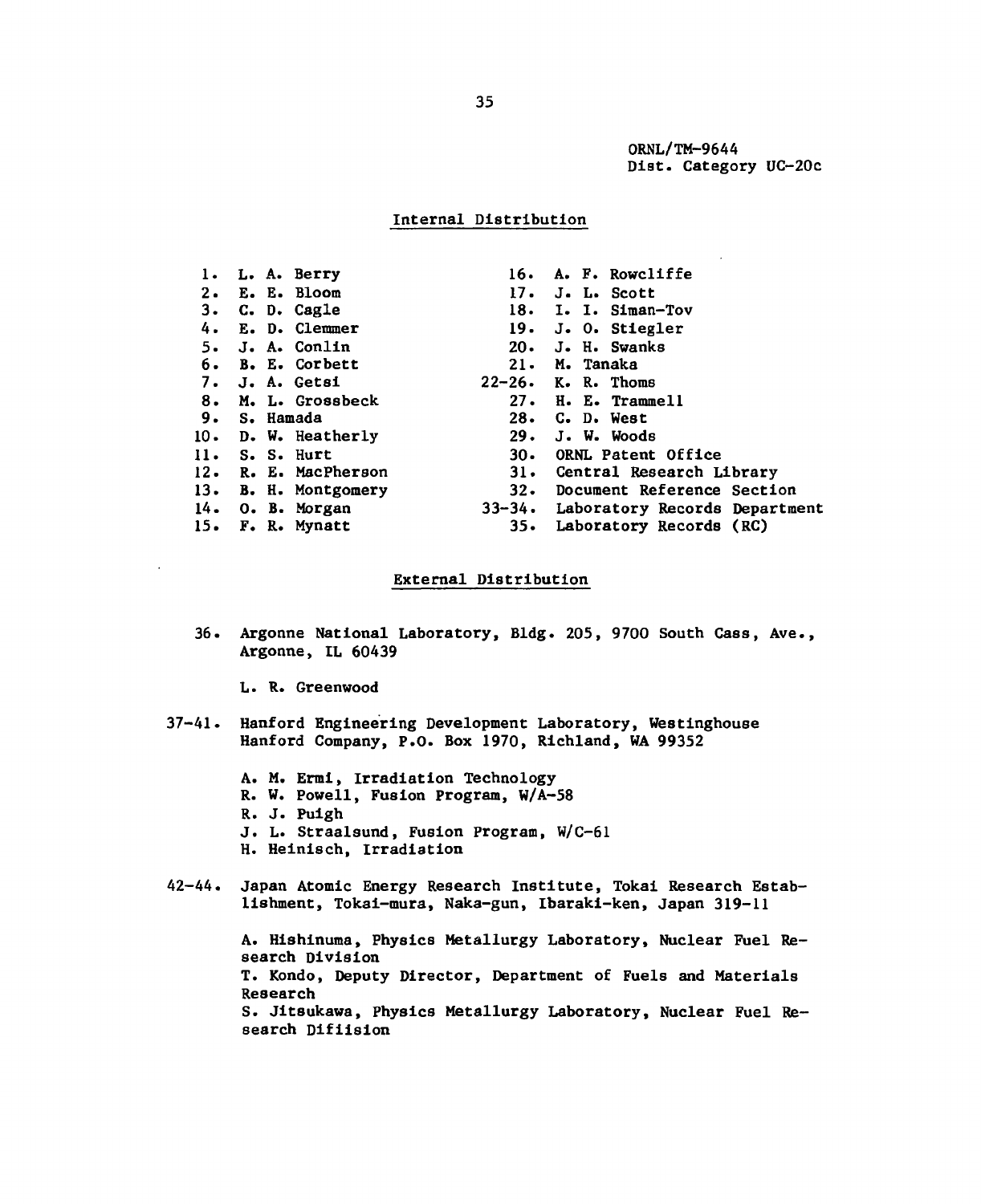ORNL/TM-9644 Dist. Category UC-20c

### Internal Distribution

| 1. L. A. Berry       | 16. A. F. Rowcliffe                  |
|----------------------|--------------------------------------|
| 2. E. E. Bloom       | 17. J. L. Scott                      |
| 3. C. D. Cagle       | 18. I. I. Siman-Tov                  |
| 4. E. D. Clemmer     | 19. J. O. Stiegler                   |
| 5. J. A. Conlin      | $20.$ J. H. Swanks                   |
| 6. B. E. Corbett     | 21. M. Tanaka                        |
| 7. J. A. Getsi       | $22-26$ . K. R. Thoms                |
| 8. M. L. Grossbeck   | 27. H. E. Trammell                   |
| 9. S. Hamada         | $28.$ C. D. West                     |
| 10. D. W. Heatherly  | $29.$ J. W. Woods                    |
| $11.$ S. S. Hurt     | 30. ORNL Patent Office               |
| 12. R. E. MacPherson | 31. Central Research Library         |
| 13. B. H. Montgomery | 32. Document Reference Section       |
| $14.$ O. B. Morgan   | 33-34. Laboratory Records Department |
| 15. F. R. Mynatt     | 35. Laboratory Records (RC)          |

### External Distribution

36. Argonne National Laboratory, Bldg. 205, 9700 South Cass, Ave., Argonne, IL 60439

L. R. Greenwood

- 37-41. Hanford Engineering Development Laboratory, Westinghouse Hanford Company, P.O. Box 1970, Richland, WA 99352
	- A. M. Ermi, Irradiation Technology
	- R. W. Powell, Fusion Program, W/A-58
	- R. J. Puigh
	- J. L. Straalsund, Fusion Program, W/C-61
	- H. Heinisch, Irradiation
- 42-44. Japan Atomic Energy Research Institute, Tokai Research Establishment, Tokai-mura, Naka-gun, Ibaraki-ken, Japan 319-11

A. Hishinuma, Physics Metallurgy Laboratory, Nuclear Fuel Research Division T. Kondo, Deputy Director, Department of Fuels and Materials Research S. Jitsukawa, Physics Metallurgy Laboratory, Nuclear Fuel Research Difiision